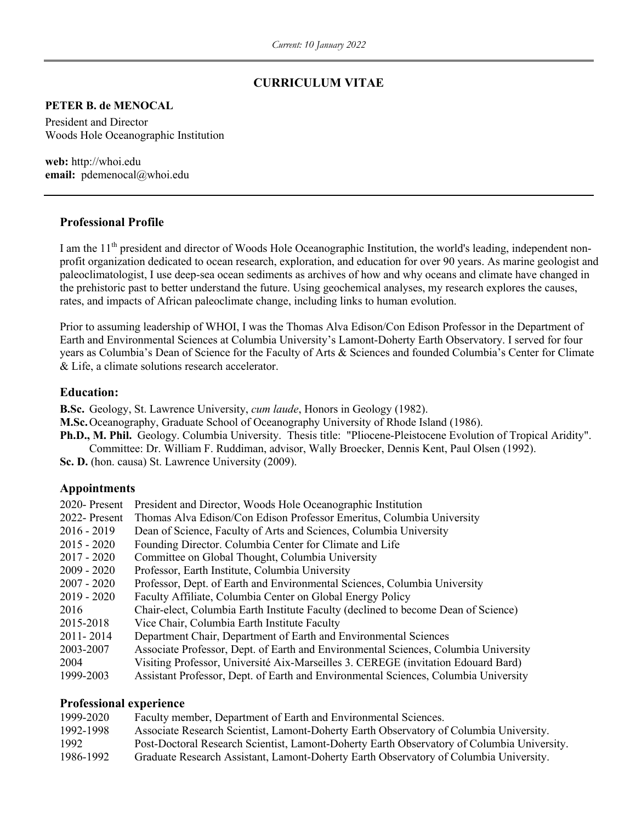### **CURRICULUM VITAE**

#### **PETER B. de MENOCAL**

President and Director Woods Hole Oceanographic Institution

**web:** http://whoi.edu **email:** pdemenocal@whoi.edu

### **Professional Profile**

I am the 11<sup>th</sup> president and director of Woods Hole Oceanographic Institution, the world's leading, independent nonprofit organization dedicated to ocean research, exploration, and education for over 90 years. As marine geologist and paleoclimatologist, I use deep-sea ocean sediments as archives of how and why oceans and climate have changed in the prehistoric past to better understand the future. Using geochemical analyses, my research explores the causes, rates, and impacts of African paleoclimate change, including links to human evolution.

Prior to assuming leadership of WHOI, I was the Thomas Alva Edison/Con Edison Professor in the Department of Earth and Environmental Sciences at Columbia University's Lamont-Doherty Earth Observatory. I served for four years as Columbia's Dean of Science for the Faculty of Arts & Sciences and founded Columbia's Center for Climate & Life, a climate solutions research accelerator.

### **Education:**

**B.Sc.** Geology, St. Lawrence University, *cum laude*, Honors in Geology (1982).

**M.Sc.**Oceanography, Graduate School of Oceanography University of Rhode Island (1986).

**Ph.D., M. Phil.** Geology. Columbia University. Thesis title: "Pliocene-Pleistocene Evolution of Tropical Aridity". Committee: Dr. William F. Ruddiman, advisor, Wally Broecker, Dennis Kent, Paul Olsen (1992).

Sc. D. (hon. causa) St. Lawrence University (2009).

### **Appointments**

| 2020- Present | President and Director, Woods Hole Oceanographic Institution                        |
|---------------|-------------------------------------------------------------------------------------|
| 2022- Present | Thomas Alva Edison/Con Edison Professor Emeritus, Columbia University               |
| 2016 - 2019   | Dean of Science, Faculty of Arts and Sciences, Columbia University                  |
| 2015 - 2020   | Founding Director. Columbia Center for Climate and Life                             |
| 2017 - 2020   | Committee on Global Thought, Columbia University                                    |
| 2009 - 2020   | Professor, Earth Institute, Columbia University                                     |
| $2007 - 2020$ | Professor, Dept. of Earth and Environmental Sciences, Columbia University           |
| 2019 - 2020   | Faculty Affiliate, Columbia Center on Global Energy Policy                          |
| 2016          | Chair-elect, Columbia Earth Institute Faculty (declined to become Dean of Science)  |
| 2015-2018     | Vice Chair, Columbia Earth Institute Faculty                                        |
| 2011-2014     | Department Chair, Department of Earth and Environmental Sciences                    |
| 2003-2007     | Associate Professor, Dept. of Earth and Environmental Sciences, Columbia University |
| 2004          | Visiting Professor, Université Aix-Marseilles 3. CEREGE (invitation Edouard Bard)   |
| 1999-2003     | Assistant Professor, Dept. of Earth and Environmental Sciences, Columbia University |

#### **Professional experience**

| 1999-2020 | Faculty member, Department of Earth and Environmental Sciences.                            |
|-----------|--------------------------------------------------------------------------------------------|
| 1992-1998 | Associate Research Scientist, Lamont-Doherty Earth Observatory of Columbia University.     |
| 1992      | Post-Doctoral Research Scientist, Lamont-Doherty Earth Observatory of Columbia University. |
| 1986-1992 | Graduate Research Assistant, Lamont-Doherty Earth Observatory of Columbia University.      |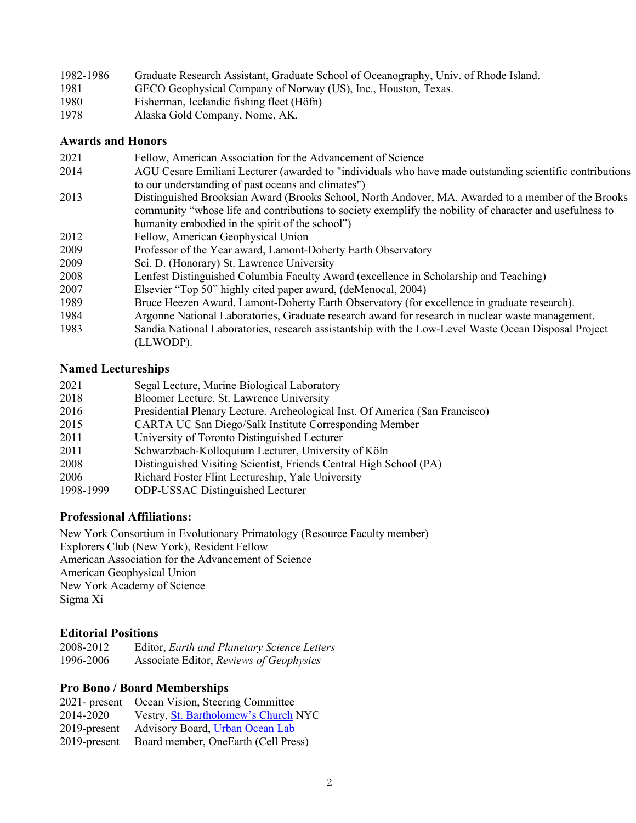| 1982-1986 | Graduate Research Assistant, Graduate School of Oceanography, Univ. of Rhode Island. |
|-----------|--------------------------------------------------------------------------------------|
| 1981      | GECO Geophysical Company of Norway (US), Inc., Houston, Texas.                       |
| 1980      | Fisherman, Icelandic fishing fleet (Höfn)                                            |
| 1978      | Alaska Gold Company, Nome, AK.                                                       |

### **Awards and Honors**

| 2021 | Fellow, American Association for the Advancement of Science                                              |
|------|----------------------------------------------------------------------------------------------------------|
| 2014 | AGU Cesare Emiliani Lecturer (awarded to "individuals who have made outstanding scientific contributions |
|      | to our understanding of past oceans and climates")                                                       |
| 2013 | Distinguished Brooksian Award (Brooks School, North Andover, MA. Awarded to a member of the Brooks       |
|      | community "whose life and contributions to society exemplify the nobility of character and usefulness to |
|      | humanity embodied in the spirit of the school")                                                          |
| 2012 | Fellow, American Geophysical Union                                                                       |
| 2009 | Professor of the Year award, Lamont-Doherty Earth Observatory                                            |
| 2009 | Sci. D. (Honorary) St. Lawrence University                                                               |
| 2008 | Lenfest Distinguished Columbia Faculty Award (excellence in Scholarship and Teaching)                    |
| 2007 | Elsevier "Top 50" highly cited paper award, (deMenocal, 2004)                                            |
| 1989 | Bruce Heezen Award. Lamont-Doherty Earth Observatory (for excellence in graduate research).              |
| 1984 | Argonne National Laboratories, Graduate research award for research in nuclear waste management.         |
| 1983 | Sandia National Laboratories, research assistantship with the Low-Level Waste Ocean Disposal Project     |
|      | (LLWODP).                                                                                                |
|      |                                                                                                          |

# **Named Lectureships**

| 2021      | Segal Lecture, Marine Biological Laboratory                                  |
|-----------|------------------------------------------------------------------------------|
| 2018      | Bloomer Lecture, St. Lawrence University                                     |
| 2016      | Presidential Plenary Lecture. Archeological Inst. Of America (San Francisco) |
| 2015      | CARTA UC San Diego/Salk Institute Corresponding Member                       |
| 2011      | University of Toronto Distinguished Lecturer                                 |
| 2011      | Schwarzbach-Kolloquium Lecturer, University of Köln                          |
| 2008      | Distinguished Visiting Scientist, Friends Central High School (PA)           |
| 2006      | Richard Foster Flint Lectureship, Yale University                            |
| 1998-1999 | <b>ODP-USSAC Distinguished Lecturer</b>                                      |

## **Professional Affiliations:**

New York Consortium in Evolutionary Primatology (Resource Faculty member) Explorers Club (New York), Resident Fellow American Association for the Advancement of Science American Geophysical Union New York Academy of Science Sigma Xi

### **Editorial Positions**

| 2008-2012 | Editor, Earth and Planetary Science Letters |
|-----------|---------------------------------------------|
| 1996-2006 | Associate Editor, Reviews of Geophysics     |

## **Pro Bono / Board Memberships**

|                 | 2021- present Ocean Vision, Steering Committee |
|-----------------|------------------------------------------------|
| 2014-2020       | Vestry, St. Bartholomew's Church NYC           |
| 2019-present    | Advisory Board, <i>Urban Ocean Lab</i>         |
| $2019$ -present | Board member, OneEarth (Cell Press)            |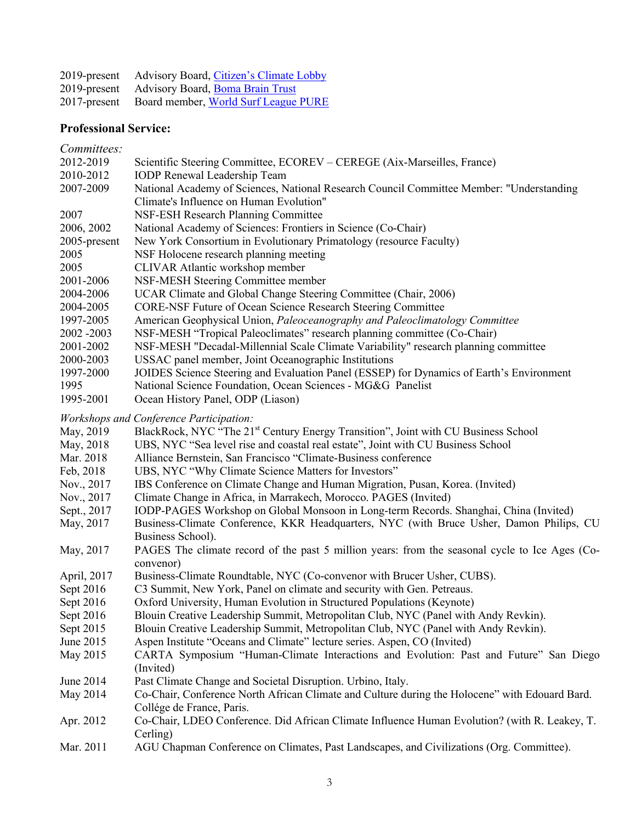| $2019$ -present | Advisory Board, Citizen's Climate Lobby |
|-----------------|-----------------------------------------|
| $2019$ -present | Advisory Board, Boma Brain Trust        |
| $2017$ -present | Board member, World Surf League PURE    |

# **Professional Service:**

*Committees:*

| 2012-2019    | Scientific Steering Committee, ECOREV – CEREGE (Aix-Marseilles, France)                            |
|--------------|----------------------------------------------------------------------------------------------------|
| 2010-2012    | <b>IODP</b> Renewal Leadership Team                                                                |
| 2007-2009    | National Academy of Sciences, National Research Council Committee Member: "Understanding           |
|              | Climate's Influence on Human Evolution"                                                            |
| 2007         | NSF-ESH Research Planning Committee                                                                |
| 2006, 2002   | National Academy of Sciences: Frontiers in Science (Co-Chair)                                      |
| 2005-present | New York Consortium in Evolutionary Primatology (resource Faculty)                                 |
| 2005         | NSF Holocene research planning meeting                                                             |
| 2005         | CLIVAR Atlantic workshop member                                                                    |
| 2001-2006    | NSF-MESH Steering Committee member                                                                 |
| 2004-2006    | UCAR Climate and Global Change Steering Committee (Chair, 2006)                                    |
| 2004-2005    | <b>CORE-NSF Future of Ocean Science Research Steering Committee</b>                                |
| 1997-2005    | American Geophysical Union, Paleoceanography and Paleoclimatology Committee                        |
| 2002 - 2003  | NSF-MESH "Tropical Paleoclimates" research planning committee (Co-Chair)                           |
| 2001-2002    | NSF-MESH "Decadal-Millennial Scale Climate Variability" research planning committee                |
| 2000-2003    | USSAC panel member, Joint Oceanographic Institutions                                               |
| 1997-2000    | JOIDES Science Steering and Evaluation Panel (ESSEP) for Dynamics of Earth's Environment           |
| 1995         | National Science Foundation, Ocean Sciences - MG&G Panelist                                        |
| 1995-2001    | Ocean History Panel, ODP (Liason)                                                                  |
|              | <b>Workshops and Conference Participation:</b>                                                     |
| May, 2019    | BlackRock, NYC "The 21 <sup>st</sup> Century Energy Transition", Joint with CU Business School     |
| May, 2018    | UBS, NYC "Sea level rise and coastal real estate", Joint with CU Business School                   |
| Mar. 2018    | Alliance Bernstein, San Francisco "Climate-Business conference                                     |
| Feb, 2018    | UBS, NYC "Why Climate Science Matters for Investors"                                               |
| Nov., 2017   | IBS Conference on Climate Change and Human Migration, Pusan, Korea. (Invited)                      |
| Nov., 2017   | Climate Change in Africa, in Marrakech, Morocco. PAGES (Invited)                                   |
| Sept., 2017  | IODP-PAGES Workshop on Global Monsoon in Long-term Records. Shanghai, China (Invited)              |
| May, 2017    | Business-Climate Conference, KKR Headquarters, NYC (with Bruce Usher, Damon Philips, CU            |
|              | Business School).                                                                                  |
| May, 2017    | PAGES The climate record of the past 5 million years: from the seasonal cycle to Ice Ages (Co-     |
|              | convenor)                                                                                          |
| April, 2017  | Business-Climate Roundtable, NYC (Co-convenor with Brucer Usher, CUBS).                            |
| Sept 2016    | C3 Summit, New York, Panel on climate and security with Gen. Petreaus.                             |
| Sept 2016    | Oxford University, Human Evolution in Structured Populations (Keynote)                             |
| Sept 2016    | Blouin Creative Leadership Summit, Metropolitan Club, NYC (Panel with Andy Revkin).                |
| Sept 2015    | Blouin Creative Leadership Summit, Metropolitan Club, NYC (Panel with Andy Revkin).                |
| June 2015    | Aspen Institute "Oceans and Climate" lecture series. Aspen, CO (Invited)                           |
| May 2015     | CARTA Symposium "Human-Climate Interactions and Evolution: Past and Future" San Diego<br>(Invited) |
| June 2014    | Past Climate Change and Societal Disruption. Urbino, Italy.                                        |
| May 2014     | Co-Chair, Conference North African Climate and Culture during the Holocene" with Edouard Bard.     |
|              | Collége de France, Paris.                                                                          |
| Apr. 2012    | Co-Chair, LDEO Conference. Did African Climate Influence Human Evolution? (with R. Leakey, T.      |

Cerling)

Mar. 2011 AGU Chapman Conference on Climates, Past Landscapes, and Civilizations (Org. Committee).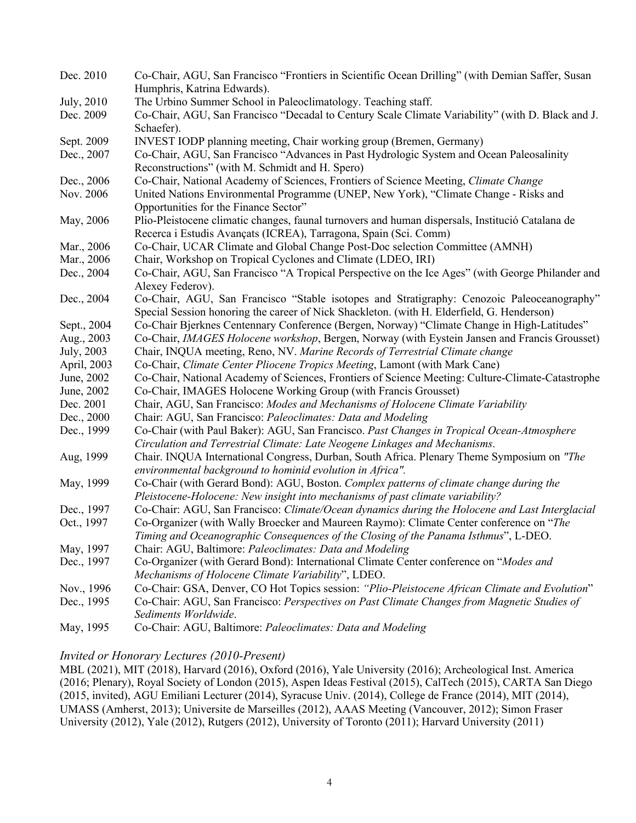| Dec. 2010   | Co-Chair, AGU, San Francisco "Frontiers in Scientific Ocean Drilling" (with Demian Saffer, Susan                    |
|-------------|---------------------------------------------------------------------------------------------------------------------|
|             | Humphris, Katrina Edwards).                                                                                         |
| July, 2010  | The Urbino Summer School in Paleoclimatology. Teaching staff.                                                       |
| Dec. 2009   | Co-Chair, AGU, San Francisco "Decadal to Century Scale Climate Variability" (with D. Black and J.                   |
|             | Schaefer).                                                                                                          |
| Sept. 2009  | INVEST IODP planning meeting, Chair working group (Bremen, Germany)                                                 |
| Dec., 2007  | Co-Chair, AGU, San Francisco "Advances in Past Hydrologic System and Ocean Paleosalinity                            |
|             | Reconstructions" (with M. Schmidt and H. Spero)                                                                     |
| Dec., 2006  | Co-Chair, National Academy of Sciences, Frontiers of Science Meeting, Climate Change                                |
| Nov. 2006   | United Nations Environmental Programme (UNEP, New York), "Climate Change - Risks and                                |
|             | Opportunities for the Finance Sector"                                                                               |
| May, 2006   | Plio-Pleistocene climatic changes, faunal turnovers and human dispersals, Institució Catalana de                    |
|             | Recerca i Estudis Avançats (ICREA), Tarragona, Spain (Sci. Comm)                                                    |
| Mar., 2006  | Co-Chair, UCAR Climate and Global Change Post-Doc selection Committee (AMNH)                                        |
| Mar., 2006  | Chair, Workshop on Tropical Cyclones and Climate (LDEO, IRI)                                                        |
| Dec., 2004  | Co-Chair, AGU, San Francisco "A Tropical Perspective on the Ice Ages" (with George Philander and                    |
|             | Alexey Federov).                                                                                                    |
| Dec., 2004  | Co-Chair, AGU, San Francisco "Stable isotopes and Stratigraphy: Cenozoic Paleoceanography"                          |
|             | Special Session honoring the career of Nick Shackleton. (with H. Elderfield, G. Henderson)                          |
| Sept., 2004 | Co-Chair Bjerknes Centennary Conference (Bergen, Norway) "Climate Change in High-Latitudes"                         |
| Aug., 2003  | Co-Chair, IMAGES Holocene workshop, Bergen, Norway (with Eystein Jansen and Francis Grousset)                       |
| July, 2003  | Chair, INQUA meeting, Reno, NV. Marine Records of Terrestrial Climate change                                        |
| April, 2003 | Co-Chair, Climate Center Pliocene Tropics Meeting, Lamont (with Mark Cane)                                          |
| June, 2002  | Co-Chair, National Academy of Sciences, Frontiers of Science Meeting: Culture-Climate-Catastrophe                   |
| June, 2002  | Co-Chair, IMAGES Holocene Working Group (with Francis Grousset)                                                     |
| Dec. 2001   | Chair, AGU, San Francisco: Modes and Mechanisms of Holocene Climate Variability                                     |
| Dec., 2000  | Chair: AGU, San Francisco: Paleoclimates: Data and Modeling                                                         |
| Dec., 1999  | Co-Chair (with Paul Baker): AGU, San Francisco. Past Changes in Tropical Ocean-Atmosphere                           |
|             | Circulation and Terrestrial Climate: Late Neogene Linkages and Mechanisms.                                          |
| Aug, 1999   | Chair. INQUA International Congress, Durban, South Africa. Plenary Theme Symposium on "The                          |
|             | environmental background to hominid evolution in Africa".                                                           |
| May, 1999   | Co-Chair (with Gerard Bond): AGU, Boston. Complex patterns of climate change during the                             |
|             | Pleistocene-Holocene: New insight into mechanisms of past climate variability?                                      |
| Dec., 1997  | Co-Chair: AGU, San Francisco: Climate/Ocean dynamics during the Holocene and Last Interglacial                      |
| Oct., 1997  | Co-Organizer (with Wally Broecker and Maureen Raymo): Climate Center conference on "The                             |
|             | Timing and Oceanographic Consequences of the Closing of the Panama Isthmus", L-DEO.                                 |
| May, 1997   | Chair: AGU, Baltimore: Paleoclimates: Data and Modeling                                                             |
| Dec., 1997  | Co-Organizer (with Gerard Bond): International Climate Center conference on "Modes and                              |
|             | Mechanisms of Holocene Climate Variability", LDEO.                                                                  |
| Nov., 1996  | Co-Chair: GSA, Denver, CO Hot Topics session: "Plio-Pleistocene African Climate and Evolution"                      |
| Dec., 1995  | Co-Chair: AGU, San Francisco: Perspectives on Past Climate Changes from Magnetic Studies of<br>Sediments Worldwide. |
| May, 1995   | Co-Chair: AGU, Baltimore: Paleoclimates: Data and Modeling                                                          |

## *Invited or Honorary Lectures (2010-Present)*

MBL (2021), MIT (2018), Harvard (2016), Oxford (2016), Yale University (2016); Archeological Inst. America (2016; Plenary), Royal Society of London (2015), Aspen Ideas Festival (2015), CalTech (2015), CARTA San Diego (2015, invited), AGU Emiliani Lecturer (2014), Syracuse Univ. (2014), College de France (2014), MIT (2014), UMASS (Amherst, 2013); Universite de Marseilles (2012), AAAS Meeting (Vancouver, 2012); Simon Fraser University (2012), Yale (2012), Rutgers (2012), University of Toronto (2011); Harvard University (2011)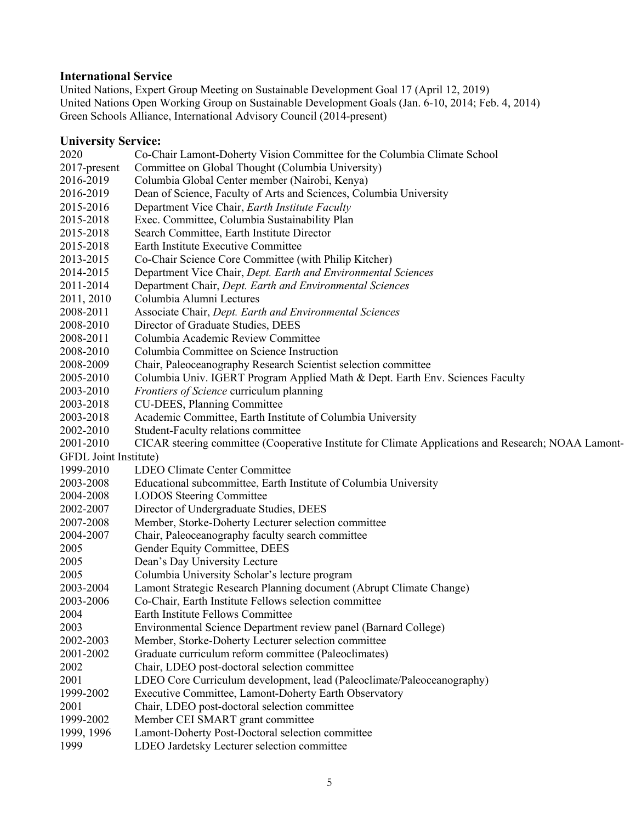### **International Service**

United Nations, Expert Group Meeting on Sustainable Development Goal 17 (April 12, 2019) United Nations Open Working Group on Sustainable Development Goals (Jan. 6-10, 2014; Feb. 4, 2014) Green Schools Alliance, International Advisory Council (2014-present)

### **University Service:**

2020 Co-Chair Lamont-Doherty Vision Committee for the Columbia Climate School 2017-present Committee on Global Thought (Columbia University) 2016-2019 Columbia Global Center member (Nairobi, Kenya) 2016-2019 Dean of Science, Faculty of Arts and Sciences, Columbia University 2015-2016 Department Vice Chair, *Earth Institute Faculty* 2015-2018 Exec. Committee, Columbia Sustainability Plan 2015-2018 Search Committee, Earth Institute Director 2015-2018 Earth Institute Executive Committee 2013-2015 Co-Chair Science Core Committee (with Philip Kitcher) 2014-2015 Department Vice Chair, *Dept. Earth and Environmental Sciences* 2011-2014 Department Chair, *Dept. Earth and Environmental Sciences* 2011, 2010 Columbia Alumni Lectures 2008-2011 Associate Chair, *Dept. Earth and Environmental Sciences* 2008-2010 Director of Graduate Studies, DEES 2008-2011 Columbia Academic Review Committee 2008-2010 Columbia Committee on Science Instruction 2008-2009 Chair, Paleoceanography Research Scientist selection committee 2005-2010 Columbia Univ. IGERT Program Applied Math & Dept. Earth Env. Sciences Faculty 2003-2010 *Frontiers of Science* curriculum planning 2003-2018 CU-DEES, Planning Committee 2003-2018 Academic Committee, Earth Institute of Columbia University 2002-2010 Student-Faculty relations committee 2001-2010 CICAR steering committee (Cooperative Institute for Climate Applications and Research; NOAA Lamont-GFDL Joint Institute) 1999-2010 LDEO Climate Center Committee 2003-2008 Educational subcommittee, Earth Institute of Columbia University 2004-2008 LODOS Steering Committee 2002-2007 Director of Undergraduate Studies, DEES 2007-2008 Member, Storke-Doherty Lecturer selection committee 2004-2007 Chair, Paleoceanography faculty search committee 2005 Gender Equity Committee, DEES 2005 Dean's Day University Lecture 2005 Columbia University Scholar's lecture program 2003-2004 Lamont Strategic Research Planning document (Abrupt Climate Change) 2003-2006 Co-Chair, Earth Institute Fellows selection committee 2004 Earth Institute Fellows Committee 2003 Environmental Science Department review panel (Barnard College) 2002-2003 Member, Storke-Doherty Lecturer selection committee 2001-2002 Graduate curriculum reform committee (Paleoclimates) 2002 Chair, LDEO post-doctoral selection committee 2001 LDEO Core Curriculum development, lead (Paleoclimate/Paleoceanography) 1999-2002 Executive Committee, Lamont-Doherty Earth Observatory 2001 Chair, LDEO post-doctoral selection committee 1999-2002 Member CEI SMART grant committee 1999, 1996 Lamont-Doherty Post-Doctoral selection committee 1999 LDEO Jardetsky Lecturer selection committee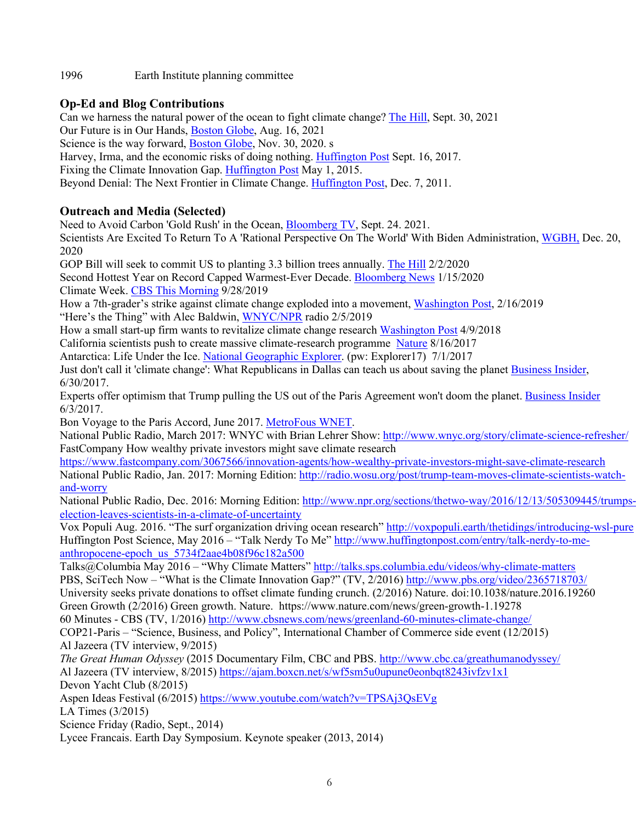1996 Earth Institute planning committee

# **Op-Ed and Blog Contributions**

Can we harness the natural power of the ocean to fight climate change? The Hill, Sept. 30, 2021

Our Future is in Our Hands, Boston Globe, Aug. 16, 2021

Science is the way forward, Boston Globe, Nov. 30, 2020. s

Harvey, Irma, and the economic risks of doing nothing. Huffington Post Sept. 16, 2017.

Fixing the Climate Innovation Gap. Huffington Post May 1, 2015.

Beyond Denial: The Next Frontier in Climate Change. Huffington Post, Dec. 7, 2011.

# **Outreach and Media (Selected)**

Need to Avoid Carbon 'Gold Rush' in the Ocean, Bloomberg TV, Sept. 24. 2021.

Scientists Are Excited To Return To A 'Rational Perspective On The World' With Biden Administration, WGBH, Dec. 20, 2020

GOP Bill will seek to commit US to planting 3.3 billion trees annually. The Hill 2/2/2020

Second Hottest Year on Record Capped Warmest-Ever Decade. Bloomberg News 1/15/2020 Climate Week. CBS This Morning 9/28/2019

How a 7th-grader's strike against climate change exploded into a movement, Washington Post, 2/16/2019 "Here's the Thing" with Alec Baldwin, WNYC/NPR radio 2/5/2019

How a small start-up firm wants to revitalize climate change research Washington Post 4/9/2018

California scientists push to create massive climate-research programme Nature 8/16/2017

Antarctica: Life Under the Ice. National Geographic Explorer. (pw: Explorer17) 7/1/2017

Just don't call it 'climate change': What Republicans in Dallas can teach us about saving the planet Business Insider, 6/30/2017.

Experts offer optimism that Trump pulling the US out of the Paris Agreement won't doom the planet. Business Insider 6/3/2017.

Bon Voyage to the Paris Accord, June 2017. MetroFous WNET.

National Public Radio, March 2017: WNYC with Brian Lehrer Show: http://www.wnyc.org/story/climate-science-refresher/ FastCompany How wealthy private investors might save climate research

https://www.fastcompany.com/3067566/innovation-agents/how-wealthy-private-investors-might-save-climate-research National Public Radio, Jan. 2017: Morning Edition: http://radio.wosu.org/post/trump-team-moves-climate-scientists-watchand-worry

National Public Radio, Dec. 2016: Morning Edition: http://www.npr.org/sections/thetwo-way/2016/12/13/505309445/trumpselection-leaves-scientists-in-a-climate-of-uncertainty

Vox Populi Aug. 2016. "The surf organization driving ocean research" http://voxpopuli.earth/thetidings/introducing-wsl-pure Huffington Post Science, May 2016 – "Talk Nerdy To Me" http://www.huffingtonpost.com/entry/talk-nerdy-to-meanthropocene-epoch\_us\_5734f2aae4b08f96c182a500

Talks@Columbia May 2016 – "Why Climate Matters" http://talks.sps.columbia.edu/videos/why-climate-matters PBS, SciTech Now – "What is the Climate Innovation Gap?" (TV, 2/2016) http://www.pbs.org/video/2365718703/

University seeks private donations to offset climate funding crunch. (2/2016) Nature. doi:10.1038/nature.2016.19260

Green Growth (2/2016) Green growth. Nature. https://www.nature.com/news/green-growth-1.19278

60 Minutes - CBS (TV, 1/2016) http://www.cbsnews.com/news/greenland-60-minutes-climate-change/

COP21-Paris – "Science, Business, and Policy", International Chamber of Commerce side event (12/2015) Al Jazeera (TV interview, 9/2015)

*The Great Human Odyssey* (2015 Documentary Film, CBC and PBS. http://www.cbc.ca/greathumanodyssey/ Al Jazeera (TV interview, 8/2015) https://ajam.boxcn.net/s/wf5sm5u0upune0eonbqt8243ivfzv1x1 Devon Yacht Club (8/2015)

Aspen Ideas Festival (6/2015) https://www.youtube.com/watch?v=TPSAj3QsEVg

LA Times (3/2015)

Science Friday (Radio, Sept., 2014)

Lycee Francais. Earth Day Symposium. Keynote speaker (2013, 2014)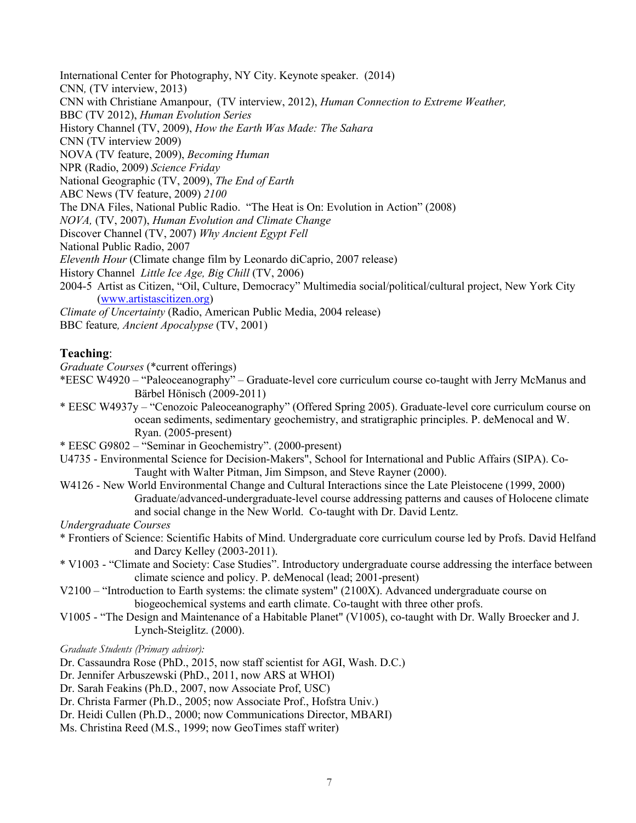International Center for Photography, NY City. Keynote speaker. (2014) CNN*,* (TV interview, 2013) CNN with Christiane Amanpour, (TV interview, 2012), *Human Connection to Extreme Weather,*  BBC (TV 2012), *Human Evolution Series* History Channel (TV, 2009), *How the Earth Was Made: The Sahara* CNN (TV interview 2009) NOVA (TV feature, 2009), *Becoming Human*  NPR (Radio, 2009) *Science Friday* National Geographic (TV, 2009), *The End of Earth* ABC News (TV feature, 2009) *2100* The DNA Files, National Public Radio. "The Heat is On: Evolution in Action" (2008) *NOVA,* (TV, 2007), *Human Evolution and Climate Change* Discover Channel (TV, 2007) *Why Ancient Egypt Fell* National Public Radio, 2007 *Eleventh Hour* (Climate change film by Leonardo diCaprio, 2007 release) History Channel *Little Ice Age, Big Chill* (TV, 2006) 2004-5 Artist as Citizen, "Oil, Culture, Democracy" Multimedia social/political/cultural project, New York City (www.artistascitizen.org) *Climate of Uncertainty* (Radio, American Public Media, 2004 release) BBC feature*, Ancient Apocalypse* (TV, 2001)

### **Teaching**:

*Graduate Courses* (\*current offerings)

\*EESC W4920 – "Paleoceanography" – Graduate-level core curriculum course co-taught with Jerry McManus and Bärbel Hönisch (2009-2011)

- \* EESC W4937y "Cenozoic Paleoceanography" (Offered Spring 2005). Graduate-level core curriculum course on ocean sediments, sedimentary geochemistry, and stratigraphic principles. P. deMenocal and W. Ryan. (2005-present)
- \* EESC G9802 "Seminar in Geochemistry". (2000-present)
- U4735 Environmental Science for Decision-Makers", School for International and Public Affairs (SIPA). Co-Taught with Walter Pitman, Jim Simpson, and Steve Rayner (2000).
- W4126 New World Environmental Change and Cultural Interactions since the Late Pleistocene (1999, 2000) Graduate/advanced-undergraduate-level course addressing patterns and causes of Holocene climate and social change in the New World. Co-taught with Dr. David Lentz.

*Undergraduate Courses*

- \* Frontiers of Science: Scientific Habits of Mind. Undergraduate core curriculum course led by Profs. David Helfand and Darcy Kelley (2003-2011).
- \* V1003 "Climate and Society: Case Studies". Introductory undergraduate course addressing the interface between climate science and policy. P. deMenocal (lead; 2001-present)
- V2100 "Introduction to Earth systems: the climate system" (2100X). Advanced undergraduate course on biogeochemical systems and earth climate. Co-taught with three other profs.
- V1005 "The Design and Maintenance of a Habitable Planet" (V1005), co-taught with Dr. Wally Broecker and J. Lynch-Steiglitz. (2000).

*Graduate Students (Primary advisor):*

Dr. Cassaundra Rose (PhD., 2015, now staff scientist for AGI, Wash. D.C.)

- Dr. Jennifer Arbuszewski (PhD., 2011, now ARS at WHOI)
- Dr. Sarah Feakins (Ph.D., 2007, now Associate Prof, USC)
- Dr. Christa Farmer (Ph.D., 2005; now Associate Prof., Hofstra Univ.)
- Dr. Heidi Cullen (Ph.D., 2000; now Communications Director, MBARI)
- Ms. Christina Reed (M.S., 1999; now GeoTimes staff writer)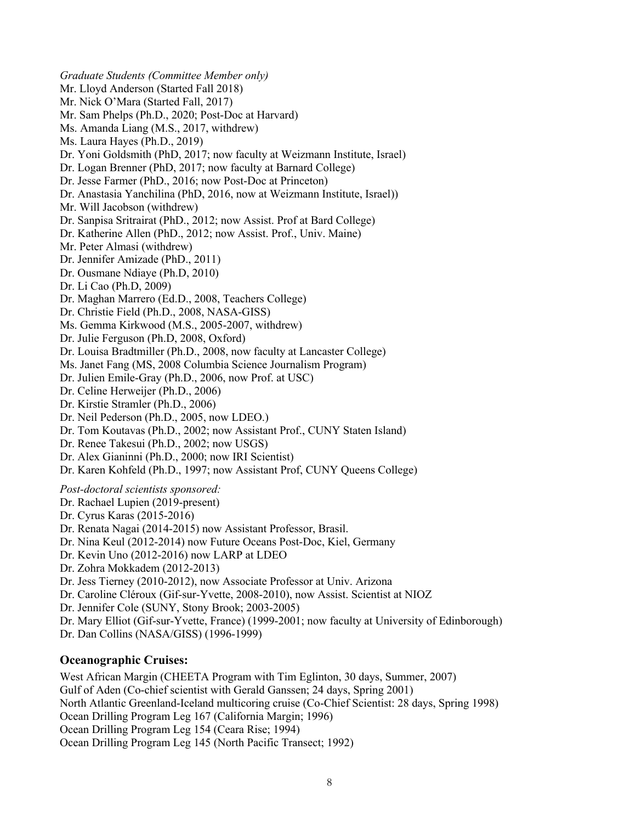*Graduate Students (Committee Member only)* Mr. Lloyd Anderson (Started Fall 2018) Mr. Nick O'Mara (Started Fall, 2017) Mr. Sam Phelps (Ph.D., 2020; Post-Doc at Harvard) Ms. Amanda Liang (M.S., 2017, withdrew) Ms. Laura Hayes (Ph.D., 2019) Dr. Yoni Goldsmith (PhD, 2017; now faculty at Weizmann Institute, Israel) Dr. Logan Brenner (PhD, 2017; now faculty at Barnard College) Dr. Jesse Farmer (PhD., 2016; now Post-Doc at Princeton) Dr. Anastasia Yanchilina (PhD, 2016, now at Weizmann Institute, Israel)) Mr. Will Jacobson (withdrew) Dr. Sanpisa Sritrairat (PhD., 2012; now Assist. Prof at Bard College) Dr. Katherine Allen (PhD., 2012; now Assist. Prof., Univ. Maine) Mr. Peter Almasi (withdrew) Dr. Jennifer Amizade (PhD., 2011) Dr. Ousmane Ndiaye (Ph.D, 2010) Dr. Li Cao (Ph.D, 2009) Dr. Maghan Marrero (Ed.D., 2008, Teachers College) Dr. Christie Field (Ph.D., 2008, NASA-GISS) Ms. Gemma Kirkwood (M.S., 2005-2007, withdrew) Dr. Julie Ferguson (Ph.D, 2008, Oxford) Dr. Louisa Bradtmiller (Ph.D., 2008, now faculty at Lancaster College) Ms. Janet Fang (MS, 2008 Columbia Science Journalism Program) Dr. Julien Emile-Gray (Ph.D., 2006, now Prof. at USC) Dr. Celine Herweijer (Ph.D., 2006) Dr. Kirstie Stramler (Ph.D., 2006) Dr. Neil Pederson (Ph.D., 2005, now LDEO.) Dr. Tom Koutavas (Ph.D., 2002; now Assistant Prof., CUNY Staten Island) Dr. Renee Takesui (Ph.D., 2002; now USGS) Dr. Alex Gianinni (Ph.D., 2000; now IRI Scientist) Dr. Karen Kohfeld (Ph.D., 1997; now Assistant Prof, CUNY Queens College) *Post-doctoral scientists sponsored:* Dr. Rachael Lupien (2019-present) Dr. Cyrus Karas (2015-2016) Dr. Renata Nagai (2014-2015) now Assistant Professor, Brasil. Dr. Nina Keul (2012-2014) now Future Oceans Post-Doc, Kiel, Germany Dr. Kevin Uno (2012-2016) now LARP at LDEO Dr. Zohra Mokkadem (2012-2013) Dr. Jess Tierney (2010-2012), now Associate Professor at Univ. Arizona Dr. Caroline Cléroux (Gif-sur-Yvette, 2008-2010), now Assist. Scientist at NIOZ Dr. Jennifer Cole (SUNY, Stony Brook; 2003-2005) Dr. Mary Elliot (Gif-sur-Yvette, France) (1999-2001; now faculty at University of Edinborough) Dr. Dan Collins (NASA/GISS) (1996-1999)

## **Oceanographic Cruises:**

West African Margin (CHEETA Program with Tim Eglinton, 30 days, Summer, 2007) Gulf of Aden (Co-chief scientist with Gerald Ganssen; 24 days, Spring 2001) North Atlantic Greenland-Iceland multicoring cruise (Co-Chief Scientist: 28 days, Spring 1998) Ocean Drilling Program Leg 167 (California Margin; 1996) Ocean Drilling Program Leg 154 (Ceara Rise; 1994) Ocean Drilling Program Leg 145 (North Pacific Transect; 1992)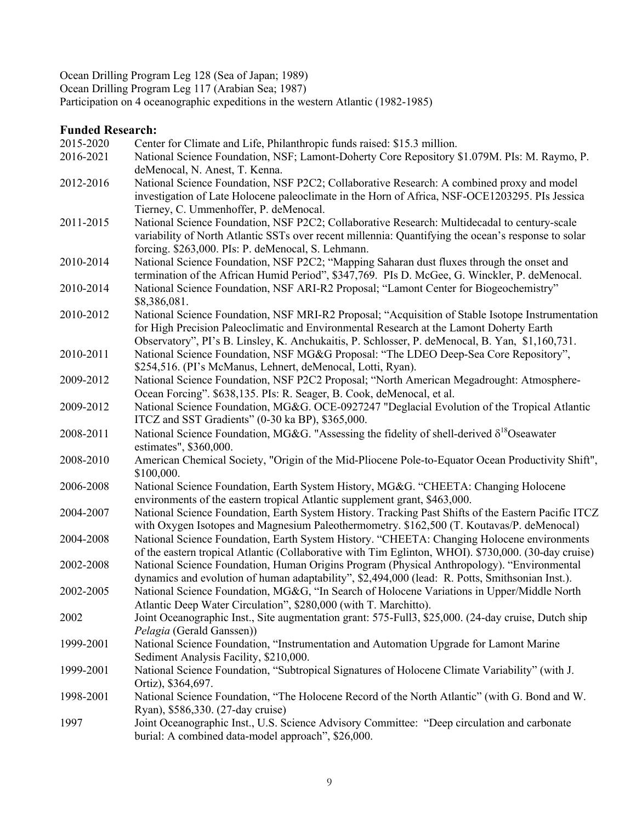Ocean Drilling Program Leg 128 (Sea of Japan; 1989) Ocean Drilling Program Leg 117 (Arabian Sea; 1987)

Participation on 4 oceanographic expeditions in the western Atlantic (1982-1985)

## **Funded Research:**

| 2015-2020 | Center for Climate and Life, Philanthropic funds raised: \$15.3 million.                                                      |
|-----------|-------------------------------------------------------------------------------------------------------------------------------|
| 2016-2021 | National Science Foundation, NSF; Lamont-Doherty Core Repository \$1.079M. PIs: M. Raymo, P.                                  |
|           | deMenocal, N. Anest, T. Kenna.                                                                                                |
| 2012-2016 | National Science Foundation, NSF P2C2; Collaborative Research: A combined proxy and model                                     |
|           | investigation of Late Holocene paleoclimate in the Horn of Africa, NSF-OCE1203295. PIs Jessica                                |
|           | Tierney, C. Ummenhoffer, P. deMenocal.                                                                                        |
| 2011-2015 | National Science Foundation, NSF P2C2; Collaborative Research: Multidecadal to century-scale                                  |
|           | variability of North Atlantic SSTs over recent millennia: Quantifying the ocean's response to solar                           |
|           | forcing. \$263,000. PIs: P. deMenocal, S. Lehmann.                                                                            |
| 2010-2014 | National Science Foundation, NSF P2C2; "Mapping Saharan dust fluxes through the onset and                                     |
|           | termination of the African Humid Period", \$347,769. PIs D. McGee, G. Winckler, P. deMenocal.                                 |
| 2010-2014 | National Science Foundation, NSF ARI-R2 Proposal; "Lamont Center for Biogeochemistry"                                         |
|           | \$8,386,081.                                                                                                                  |
| 2010-2012 | National Science Foundation, NSF MRI-R2 Proposal; "Acquisition of Stable Isotope Instrumentation                              |
|           | for High Precision Paleoclimatic and Environmental Research at the Lamont Doherty Earth                                       |
|           | Observatory", PI's B. Linsley, K. Anchukaitis, P. Schlosser, P. deMenocal, B. Yan, \$1,160,731.                               |
| 2010-2011 | National Science Foundation, NSF MG&G Proposal: "The LDEO Deep-Sea Core Repository",                                          |
|           | \$254,516. (PI's McManus, Lehnert, deMenocal, Lotti, Ryan).                                                                   |
| 2009-2012 | National Science Foundation, NSF P2C2 Proposal; "North American Megadrought: Atmosphere-                                      |
|           | Ocean Forcing". \$638,135. PIs: R. Seager, B. Cook, deMenocal, et al.                                                         |
| 2009-2012 | National Science Foundation, MG&G. OCE-0927247 "Deglacial Evolution of the Tropical Atlantic                                  |
|           | ITCZ and SST Gradients" (0-30 ka BP), \$365,000.                                                                              |
| 2008-2011 | National Science Foundation, MG&G. "Assessing the fidelity of shell-derived $\delta^{18}$ Oseawater<br>estimates", \$360,000. |
| 2008-2010 | American Chemical Society, "Origin of the Mid-Pliocene Pole-to-Equator Ocean Productivity Shift",                             |
|           | \$100,000.                                                                                                                    |
| 2006-2008 | National Science Foundation, Earth System History, MG&G. "CHEETA: Changing Holocene                                           |
|           | environments of the eastern tropical Atlantic supplement grant, \$463,000.                                                    |
| 2004-2007 | National Science Foundation, Earth System History. Tracking Past Shifts of the Eastern Pacific ITCZ                           |
|           | with Oxygen Isotopes and Magnesium Paleothermometry. \$162,500 (T. Koutavas/P. deMenocal)                                     |
| 2004-2008 | National Science Foundation, Earth System History. "CHEETA: Changing Holocene environments                                    |
|           | of the eastern tropical Atlantic (Collaborative with Tim Eglinton, WHOI). \$730,000. (30-day cruise)                          |
| 2002-2008 | National Science Foundation, Human Origins Program (Physical Anthropology). "Environmental                                    |
|           | dynamics and evolution of human adaptability", \$2,494,000 (lead: R. Potts, Smithsonian Inst.).                               |
| 2002-2005 | National Science Foundation, MG&G, "In Search of Holocene Variations in Upper/Middle North                                    |
|           | Atlantic Deep Water Circulation", \$280,000 (with T. Marchitto).                                                              |
| 2002      | Joint Oceanographic Inst., Site augmentation grant: 575-Full3, \$25,000. (24-day cruise, Dutch ship                           |
|           | Pelagia (Gerald Ganssen))                                                                                                     |
| 1999-2001 | National Science Foundation, "Instrumentation and Automation Upgrade for Lamont Marine                                        |
|           | Sediment Analysis Facility, \$210,000.                                                                                        |
| 1999-2001 |                                                                                                                               |
|           | National Science Foundation, "Subtropical Signatures of Holocene Climate Variability" (with J.                                |
|           | Ortiz), \$364,697.                                                                                                            |
| 1998-2001 | National Science Foundation, "The Holocene Record of the North Atlantic" (with G. Bond and W.                                 |
|           | Ryan), \$586,330. (27-day cruise)                                                                                             |
| 1997      | Joint Oceanographic Inst., U.S. Science Advisory Committee: "Deep circulation and carbonate                                   |
|           | burial: A combined data-model approach", \$26,000.                                                                            |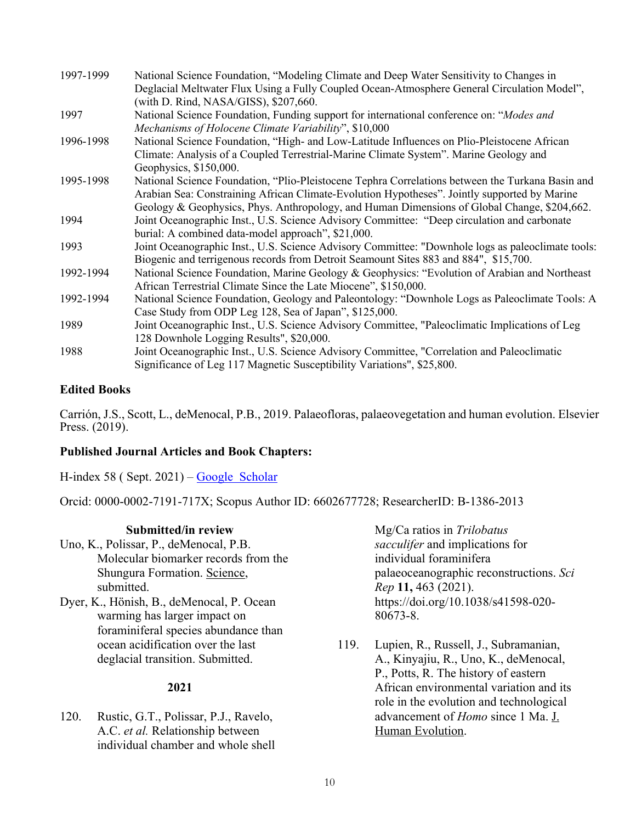| 1997-1999 | National Science Foundation, "Modeling Climate and Deep Water Sensitivity to Changes in           |
|-----------|---------------------------------------------------------------------------------------------------|
|           | Deglacial Meltwater Flux Using a Fully Coupled Ocean-Atmosphere General Circulation Model",       |
|           | (with D. Rind, NASA/GISS), \$207,660.                                                             |
| 1997      | National Science Foundation, Funding support for international conference on: "Modes and          |
|           | Mechanisms of Holocene Climate Variability", \$10,000                                             |
| 1996-1998 | National Science Foundation, "High- and Low-Latitude Influences on Plio-Pleistocene African       |
|           | Climate: Analysis of a Coupled Terrestrial-Marine Climate System". Marine Geology and             |
|           | Geophysics, \$150,000.                                                                            |
| 1995-1998 | National Science Foundation, "Plio-Pleistocene Tephra Correlations between the Turkana Basin and  |
|           | Arabian Sea: Constraining African Climate-Evolution Hypotheses". Jointly supported by Marine      |
|           | Geology & Geophysics, Phys. Anthropology, and Human Dimensions of Global Change, \$204,662.       |
| 1994      | Joint Oceanographic Inst., U.S. Science Advisory Committee: "Deep circulation and carbonate       |
|           | burial: A combined data-model approach", \$21,000.                                                |
| 1993      | Joint Oceanographic Inst., U.S. Science Advisory Committee: "Downhole logs as paleoclimate tools: |
|           | Biogenic and terrigenous records from Detroit Seamount Sites 883 and 884", \$15,700.              |
| 1992-1994 | National Science Foundation, Marine Geology & Geophysics: "Evolution of Arabian and Northeast"    |
|           | African Terrestrial Climate Since the Late Miocene", \$150,000.                                   |
| 1992-1994 | National Science Foundation, Geology and Paleontology: "Downhole Logs as Paleoclimate Tools: A    |
|           | Case Study from ODP Leg 128, Sea of Japan", \$125,000.                                            |
| 1989      | Joint Oceanographic Inst., U.S. Science Advisory Committee, "Paleoclimatic Implications of Leg    |
|           | 128 Downhole Logging Results", \$20,000.                                                          |
| 1988      | Joint Oceanographic Inst., U.S. Science Advisory Committee, "Correlation and Paleoclimatic        |
|           | Significance of Leg 117 Magnetic Susceptibility Variations", \$25,800.                            |

### **Edited Books**

Carrión, J.S., Scott, L., deMenocal, P.B., 2019. Palaeofloras, palaeovegetation and human evolution. Elsevier Press. (2019).

### **Published Journal Articles and Book Chapters:**

H-index 58 ( Sept.  $2021$ ) – Google Scholar

Orcid: 0000-0002-7191-717X; Scopus Author ID: 6602677728; ResearcherID: B-1386-2013

### **Submitted/in review**

Uno, K., Polissar, P., deMenocal, P.B. Molecular biomarker records from the Shungura Formation. Science, submitted.

Dyer, K., Hönish, B., deMenocal, P. Ocean warming has larger impact on foraminiferal species abundance than ocean acidification over the last deglacial transition. Submitted.

### **2021**

120. Rustic, G.T., Polissar, P.J., Ravelo, A.C. *et al.* Relationship between individual chamber and whole shell Mg/Ca ratios in *Trilobatus sacculifer* and implications for individual foraminifera palaeoceanographic reconstructions. *Sci Rep* **11,** 463 (2021). https://doi.org/10.1038/s41598-020- 80673-8.

119. Lupien, R., Russell, J., Subramanian, A., Kinyajiu, R., Uno, K., deMenocal, P., Potts, R. The history of eastern African environmental variation and its role in the evolution and technological advancement of *Homo* since 1 Ma. J. Human Evolution.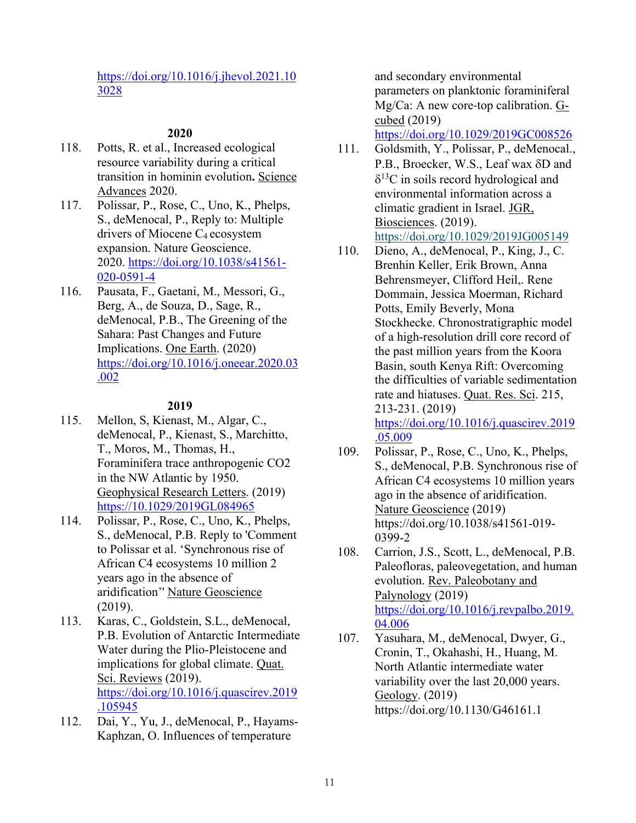### https://doi.org/10.1016/j.jhevol.2021.10 3028

### **2020**

- 118. Potts, R. et al., Increased ecological resource variability during a critical transition in hominin evolution**.** Science Advances 2020.
- 117. Polissar, P., Rose, C., Uno, K., Phelps, S., deMenocal, P., Reply to: Multiple drivers of Miocene C4 ecosystem expansion. Nature Geoscience. 2020. https://doi.org/10.1038/s41561-020-0591-4
- 116. Pausata, F., Gaetani, M., Messori, G., Berg, A., de Souza, D., Sage, R., deMenocal, P.B., The Greening of the Sahara: Past Changes and Future Implications. One Earth. (2020) https://doi.org/10.1016/j.oneear.2020.03 .002

### **2019**

- 115. Mellon, S, Kienast, M., Algar, C., deMenocal, P., Kienast, S., Marchitto, T., Moros, M., Thomas, H., Foraminifera trace anthropogenic CO2 in the NW Atlantic by 1950. Geophysical Research Letters. (2019) https://10.1029/2019GL084965
- 114. Polissar, P., Rose, C., Uno, K., Phelps, S., deMenocal, P.B. Reply to 'Comment to Polissar et al. 'Synchronous rise of African C4 ecosystems 10 million 2 years ago in the absence of aridification'' Nature Geoscience (2019).
- 113. Karas, C., Goldstein, S.L., deMenocal, P.B. Evolution of Antarctic Intermediate Water during the Plio-Pleistocene and implications for global climate. Quat. Sci. Reviews (2019). https://doi.org/10.1016/j.quascirev.2019 .105945
- 112. Dai, Y., Yu, J., deMenocal, P., Hayams-Kaphzan, O. Influences of temperature

and secondary environmental parameters on planktonic foraminiferal Mg/Ca: A new core-top calibration. Gcubed (2019)

https://doi.org/10.1029/2019GC008526

- 111. Goldsmith, Y., Polissar, P., deMenocal., P.B., Broecker, W.S., Leaf wax  $\delta$ D and  $\delta^{13}$ C in soils record hydrological and environmental information across a climatic gradient in Israel. JGR, Biosciences. (2019). https://doi.org/10.1029/2019JG005149
- 110. Dieno, A., deMenocal, P., King, J., C. Brenhin Keller, Erik Brown, Anna Behrensmeyer, Clifford Heil,. Rene Dommain, Jessica Moerman, Richard Potts, Emily Beverly, Mona Stockhecke. Chronostratigraphic model of a high-resolution drill core record of the past million years from the Koora Basin, south Kenya Rift: Overcoming the difficulties of variable sedimentation rate and hiatuses. Quat. Res. Sci. 215, 213-231. (2019) https://doi.org/10.1016/j.quascirev.2019 .05.009
- 109. Polissar, P., Rose, C., Uno, K., Phelps, S., deMenocal, P.B. Synchronous rise of African C4 ecosystems 10 million years ago in the absence of aridification. Nature Geoscience (2019) https://doi.org/10.1038/s41561-019- 0399-2
- 108. Carrion, J.S., Scott, L., deMenocal, P.B. Paleofloras, paleovegetation, and human evolution. Rev. Paleobotany and Palynology (2019) https://doi.org/10.1016/j.revpalbo.2019. 04.006
- 107. Yasuhara, M., deMenocal, Dwyer, G., Cronin, T., Okahashi, H., Huang, M. North Atlantic intermediate water variability over the last 20,000 years. Geology. (2019) https://doi.org/10.1130/G46161.1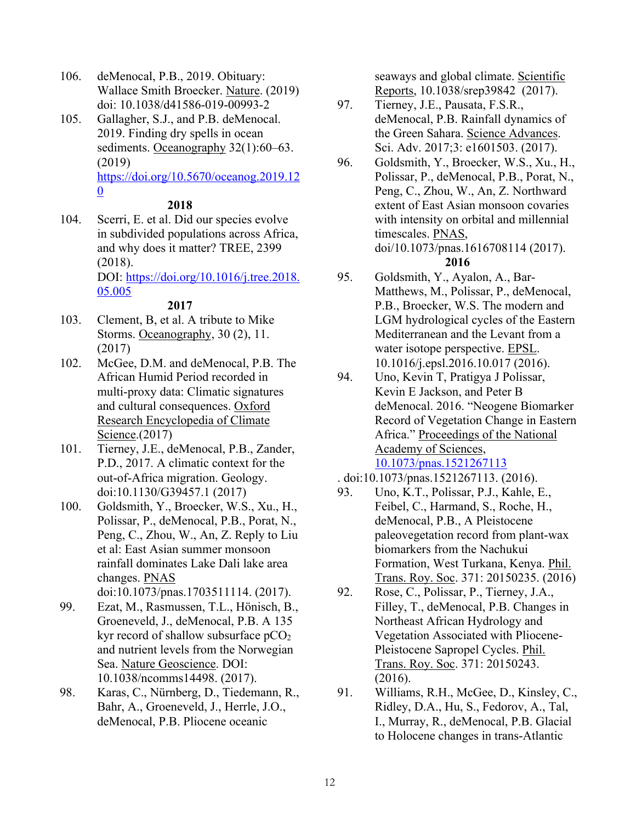- 106. deMenocal, P.B., 2019. Obituary: Wallace Smith Broecker. Nature. (2019) doi: 10.1038/d41586-019-00993-2
- 105. Gallagher, S.J., and P.B. deMenocal. 2019. Finding dry spells in ocean sediments. Oceanography 32(1):60–63. (2019) https://doi.org/10.5670/oceanog.2019.12 0

### **2018**

104. Scerri, E. et al. Did our species evolve in subdivided populations across Africa, and why does it matter? TREE, 2399 (2018). DOI: https://doi.org/10.1016/j.tree.2018. 05.005

### **2017**

- 103. Clement, B, et al. A tribute to Mike Storms. Oceanography, 30 (2), 11. (2017)
- 102. McGee, D.M. and deMenocal, P.B. The African Humid Period recorded in multi-proxy data: Climatic signatures and cultural consequences. Oxford Research Encyclopedia of Climate Science.(2017)
- 101. Tierney, J.E., deMenocal, P.B., Zander, P.D., 2017. A climatic context for the out-of-Africa migration. Geology. doi:10.1130/G39457.1 (2017)
- 100. Goldsmith, Y., Broecker, W.S., Xu., H., Polissar, P., deMenocal, P.B., Porat, N., Peng, C., Zhou, W., An, Z. Reply to Liu et al: East Asian summer monsoon rainfall dominates Lake Dali lake area changes. PNAS doi:10.1073/pnas.1703511114. (2017).

99. Ezat, M., Rasmussen, T.L., Hönisch, B., Groeneveld, J., deMenocal, P.B. A 135 kyr record of shallow subsurface  $pCO<sub>2</sub>$ and nutrient levels from the Norwegian Sea. Nature Geoscience. DOI: 10.1038/ncomms14498. (2017).

98. Karas, C., Nürnberg, D., Tiedemann, R., Bahr, A., Groeneveld, J., Herrle, J.O., deMenocal, P.B. Pliocene oceanic

seaways and global climate. Scientific Reports, 10.1038/srep39842 (2017).

- 97. Tierney, J.E., Pausata, F.S.R., deMenocal, P.B. Rainfall dynamics of the Green Sahara. Science Advances. Sci. Adv. 2017;3: e1601503. (2017).
- 96. Goldsmith, Y., Broecker, W.S., Xu., H., Polissar, P., deMenocal, P.B., Porat, N., Peng, C., Zhou, W., An, Z. Northward extent of East Asian monsoon covaries with intensity on orbital and millennial timescales. PNAS, doi/10.1073/pnas.1616708114 (2017). **2016**
- 95. Goldsmith, Y., Ayalon, A., Bar-Matthews, M., Polissar, P., deMenocal, P.B., Broecker, W.S. The modern and LGM hydrological cycles of the Eastern Mediterranean and the Levant from a water isotope perspective. EPSL. 10.1016/j.epsl.2016.10.017 (2016).
- 94. Uno, Kevin T, Pratigya J Polissar, Kevin E Jackson, and Peter B deMenocal. 2016. "Neogene Biomarker Record of Vegetation Change in Eastern Africa." Proceedings of the National Academy of Sciences, 10.1073/pnas.1521267113
- . doi:10.1073/pnas.1521267113. (2016).
- 93. Uno, K.T., Polissar, P.J., Kahle, E., Feibel, C., Harmand, S., Roche, H., deMenocal, P.B., A Pleistocene paleovegetation record from plant-wax biomarkers from the Nachukui Formation, West Turkana, Kenya. Phil. Trans. Roy. Soc. 371: 20150235. (2016)
- 92. Rose, C., Polissar, P., Tierney, J.A., Filley, T., deMenocal, P.B. Changes in Northeast African Hydrology and Vegetation Associated with Pliocene-Pleistocene Sapropel Cycles. Phil. Trans. Roy. Soc. 371: 20150243. (2016).
- 91. Williams, R.H., McGee, D., Kinsley, C., Ridley, D.A., Hu, S., Fedorov, A., Tal, I., Murray, R., deMenocal, P.B. Glacial to Holocene changes in trans-Atlantic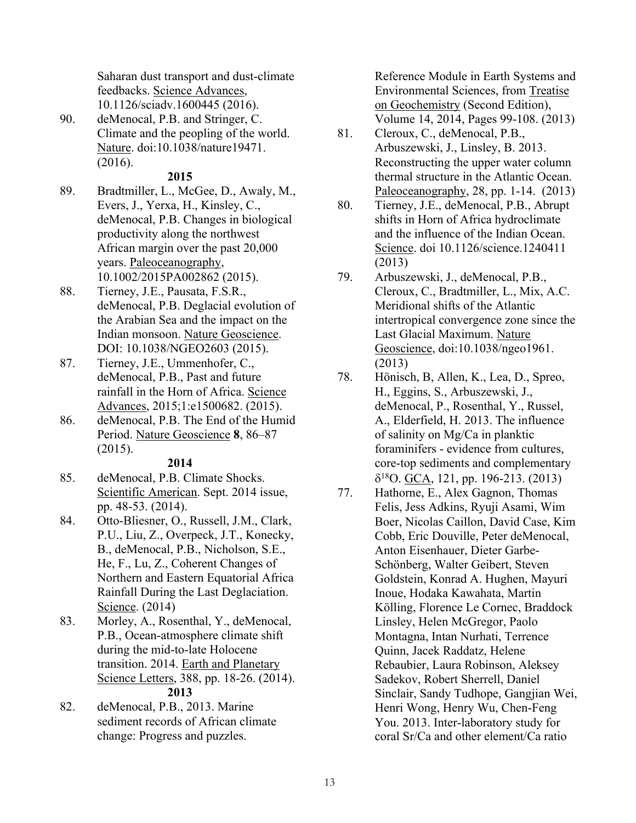Saharan dust transport and dust-climate feedbacks. Science Advances, 10.1126/sciadv.1600445 (2016).

90. deMenocal, P.B. and Stringer, C. Climate and the peopling of the world. Nature. doi:10.1038/nature19471. (2016).

### **2015**

- 89. Bradtmiller, L., McGee, D., Awaly, M., Evers, J., Yerxa, H., Kinsley, C., deMenocal, P.B. Changes in biological productivity along the northwest African margin over the past 20,000 years. Paleoceanography, 10.1002/2015PA002862 (2015).
- 88. Tierney, J.E., Pausata, F.S.R., deMenocal, P.B. Deglacial evolution of the Arabian Sea and the impact on the Indian monsoon. Nature Geoscience. DOI: 10.1038/NGEO2603 (2015).
- 87. Tierney, J.E., Ummenhofer, C., deMenocal, P.B., Past and future rainfall in the Horn of Africa. Science Advances, 2015;1:e1500682. (2015).
- 86. deMenocal, P.B. The End of the Humid Period. Nature Geoscience **8**, 86–87 (2015).

### **2014**

- 85. deMenocal, P.B. Climate Shocks. Scientific American. Sept. 2014 issue, pp. 48-53. (2014).
- 84. Otto-Bliesner, O., Russell, J.M., Clark, P.U., Liu, Z., Overpeck, J.T., Konecky, B., deMenocal, P.B., Nicholson, S.E., He, F., Lu, Z., Coherent Changes of Northern and Eastern Equatorial Africa Rainfall During the Last Deglaciation. Science. (2014)
- 83. Morley, A., Rosenthal, Y., deMenocal, P.B., Ocean-atmosphere climate shift during the mid-to-late Holocene transition. 2014. Earth and Planetary Science Letters, 388, pp. 18-26. (2014). **2013**
- 82. deMenocal, P.B., 2013. Marine sediment records of African climate change: Progress and puzzles.

Reference Module in Earth Systems and Environmental Sciences, from Treatise on Geochemistry (Second Edition), Volume 14, 2014, Pages 99-108. (2013)

- 81. Cleroux, C., deMenocal, P.B., Arbuszewski, J., Linsley, B. 2013. Reconstructing the upper water column thermal structure in the Atlantic Ocean. Paleoceanography, 28, pp. 1-14. (2013)
- 80. Tierney, J.E., deMenocal, P.B., Abrupt shifts in Horn of Africa hydroclimate and the influence of the Indian Ocean. Science. doi 10.1126/science.1240411 (2013)
- 79. Arbuszewski, J., deMenocal, P.B., Cleroux, C., Bradtmiller, L., Mix, A.C. Meridional shifts of the Atlantic intertropical convergence zone since the Last Glacial Maximum. Nature Geoscience, doi:10.1038/ngeo1961. (2013)
- 78. Hönisch, B, Allen, K., Lea, D., Spreo, H., Eggins, S., Arbuszewski, J., deMenocal, P., Rosenthal, Y., Russel, A., Elderfield, H. 2013. The influence of salinity on Mg/Ca in planktic foraminifers - evidence from cultures, core-top sediments and complementary  $\delta^{18}$ O. GCA, 121, pp. 196-213. (2013)
- 77. Hathorne, E., Alex Gagnon, Thomas Felis, Jess Adkins, Ryuji Asami, Wim Boer, Nicolas Caillon, David Case, Kim Cobb, Eric Douville, Peter deMenocal, Anton Eisenhauer, Dieter Garbe-Schönberg, Walter Geibert, Steven Goldstein, Konrad A. Hughen, Mayuri Inoue, Hodaka Kawahata, Martin Kölling, Florence Le Cornec, Braddock Linsley, Helen McGregor, Paolo Montagna, Intan Nurhati, Terrence Quinn, Jacek Raddatz, Helene Rebaubier, Laura Robinson, Aleksey Sadekov, Robert Sherrell, Daniel Sinclair, Sandy Tudhope, Gangjian Wei, Henri Wong, Henry Wu, Chen-Feng You. 2013. Inter-laboratory study for coral Sr/Ca and other element/Ca ratio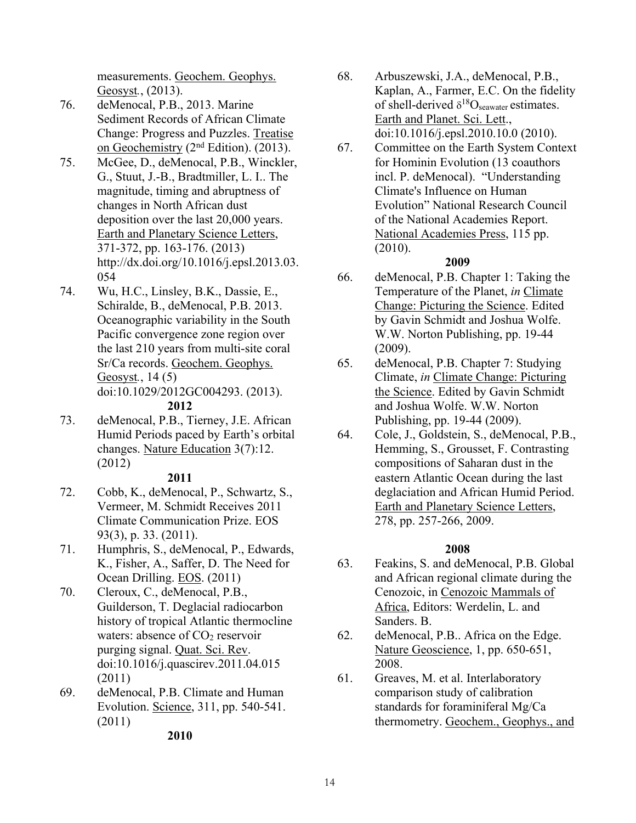measurements. Geochem. Geophys. Geosyst*.*, (2013).

- 76. deMenocal, P.B., 2013. Marine Sediment Records of African Climate Change: Progress and Puzzles. Treatise on  $Geochemistry$  ( $2<sup>nd</sup> Edition$ ). (2013).
- 75. McGee, D., deMenocal, P.B., Winckler, G., Stuut, J.-B., Bradtmiller, L. I.. The magnitude, timing and abruptness of changes in North African dust deposition over the last 20,000 years. Earth and Planetary Science Letters, 371-372, pp. 163-176. (2013) http://dx.doi.org/10.1016/j.epsl.2013.03. 054
- 74. Wu, H.C., Linsley, B.K., Dassie, E., Schiralde, B., deMenocal, P.B. 2013. Oceanographic variability in the South Pacific convergence zone region over the last 210 years from multi-site coral Sr/Ca records. Geochem. Geophys. Geosyst*.*, 14 (5) doi:10.1029/2012GC004293. (2013).

#### **2012**

73. deMenocal, P.B., Tierney, J.E. African Humid Periods paced by Earth's orbital changes. Nature Education 3(7):12. (2012)

#### **2011**

- 72. Cobb, K., deMenocal, P., Schwartz, S., Vermeer, M. Schmidt Receives 2011 Climate Communication Prize. EOS 93(3), p. 33. (2011).
- 71. Humphris, S., deMenocal, P., Edwards, K., Fisher, A., Saffer, D. The Need for Ocean Drilling. EOS. (2011)
- 70. Cleroux, C., deMenocal, P.B., Guilderson, T. Deglacial radiocarbon history of tropical Atlantic thermocline waters: absence of  $CO<sub>2</sub>$  reservoir purging signal. Quat. Sci. Rev. doi:10.1016/j.quascirev.2011.04.015 (2011)
- 69. deMenocal, P.B. Climate and Human Evolution. Science, 311, pp. 540-541. (2011)
- 68. Arbuszewski, J.A., deMenocal, P.B., Kaplan, A., Farmer, E.C. On the fidelity of shell-derived  $\delta^{18}O_{\text{seawater}}$  estimates. Earth and Planet. Sci. Lett., doi:10.1016/j.epsl.2010.10.0 (2010).
- 67. Committee on the Earth System Context for Hominin Evolution (13 coauthors incl. P. deMenocal). "Understanding Climate's Influence on Human Evolution" National Research Council of the National Academies Report. National Academies Press, 115 pp. (2010).

### **2009**

- 66. deMenocal, P.B. Chapter 1: Taking the Temperature of the Planet, *in* Climate Change: Picturing the Science. Edited by Gavin Schmidt and Joshua Wolfe. W.W. Norton Publishing, pp. 19-44 (2009).
- 65. deMenocal, P.B. Chapter 7: Studying Climate, *in* Climate Change: Picturing the Science. Edited by Gavin Schmidt and Joshua Wolfe. W.W. Norton Publishing, pp. 19-44 (2009).
- 64. Cole, J., Goldstein, S., deMenocal, P.B., Hemming, S., Grousset, F. Contrasting compositions of Saharan dust in the eastern Atlantic Ocean during the last deglaciation and African Humid Period. Earth and Planetary Science Letters, 278, pp. 257-266, 2009.

## **2008**

- 63. Feakins, S. and deMenocal, P.B. Global and African regional climate during the Cenozoic, in Cenozoic Mammals of Africa, Editors: Werdelin, L. and Sanders. B.
- 62. deMenocal, P.B.. Africa on the Edge. Nature Geoscience, 1, pp. 650-651, 2008.
- 61. Greaves, M. et al. Interlaboratory comparison study of calibration standards for foraminiferal Mg/Ca thermometry. Geochem., Geophys., and

**2010**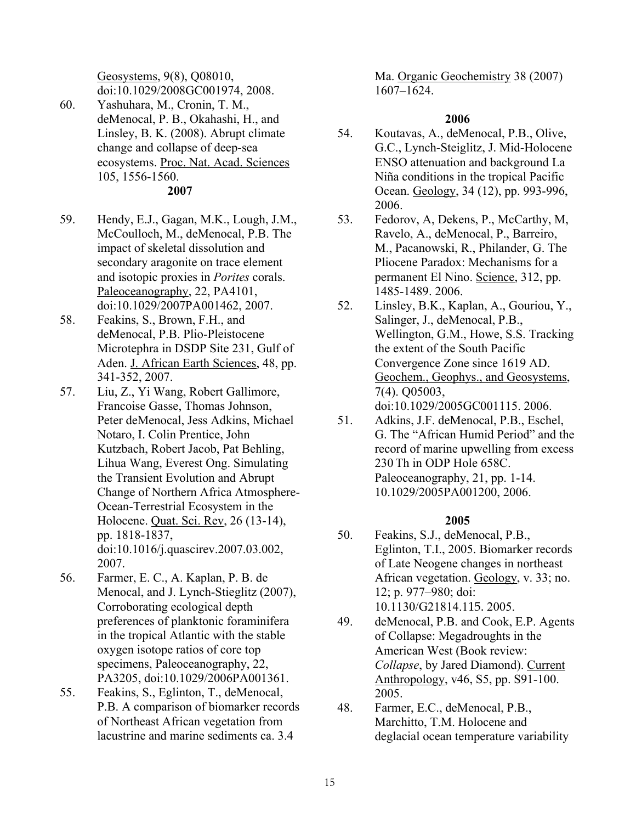Geosystems, 9(8), Q08010, doi:10.1029/2008GC001974, 2008.

- 60. Yashuhara, M., Cronin, T. M., deMenocal, P. B., Okahashi, H., and Linsley, B. K. (2008). Abrupt climate change and collapse of deep-sea ecosystems. Proc. Nat. Acad. Sciences 105, 1556-1560. **2007**
- 59. Hendy, E.J., Gagan, M.K., Lough, J.M., McCoulloch, M., deMenocal, P.B. The impact of skeletal dissolution and secondary aragonite on trace element and isotopic proxies in *Porites* corals. Paleoceanography, 22, PA4101, doi:10.1029/2007PA001462, 2007.
- 58. Feakins, S., Brown, F.H., and deMenocal, P.B. Plio-Pleistocene Microtephra in DSDP Site 231, Gulf of Aden. J. African Earth Sciences, 48, pp. 341-352, 2007.
- 57. Liu, Z., Yi Wang, Robert Gallimore, Francoise Gasse, Thomas Johnson, Peter deMenocal, Jess Adkins, Michael Notaro, I. Colin Prentice, John Kutzbach, Robert Jacob, Pat Behling, Lihua Wang, Everest Ong. Simulating the Transient Evolution and Abrupt Change of Northern Africa Atmosphere-Ocean-Terrestrial Ecosystem in the Holocene. Quat. Sci. Rev, 26 (13-14), pp. 1818-1837, doi:10.1016/j.quascirev.2007.03.002, 2007.
- 56. Farmer, E. C., A. Kaplan, P. B. de Menocal, and J. Lynch-Stieglitz (2007), Corroborating ecological depth preferences of planktonic foraminifera in the tropical Atlantic with the stable oxygen isotope ratios of core top specimens, Paleoceanography, 22, PA3205, doi:10.1029/2006PA001361.
- 55. Feakins, S., Eglinton, T., deMenocal, P.B. A comparison of biomarker records of Northeast African vegetation from lacustrine and marine sediments ca. 3.4

Ma. Organic Geochemistry 38 (2007) 1607–1624.

### **2006**

- 54. Koutavas, A., deMenocal, P.B., Olive, G.C., Lynch-Steiglitz, J. Mid-Holocene ENSO attenuation and background La Niña conditions in the tropical Pacific Ocean. Geology, 34 (12), pp. 993-996, 2006.
- 53. Fedorov, A, Dekens, P., McCarthy, M, Ravelo, A., deMenocal, P., Barreiro, M., Pacanowski, R., Philander, G. The Pliocene Paradox: Mechanisms for a permanent El Nino. Science, 312, pp. 1485-1489. 2006.
- 52. Linsley, B.K., Kaplan, A., Gouriou, Y., Salinger, J., deMenocal, P.B., Wellington, G.M., Howe, S.S. Tracking the extent of the South Pacific Convergence Zone since 1619 AD. Geochem., Geophys., and Geosystems, 7(4). Q05003, doi:10.1029/2005GC001115. 2006.
- 51. Adkins, J.F. deMenocal, P.B., Eschel, G. The "African Humid Period" and the record of marine upwelling from excess 230 Th in ODP Hole 658C. Paleoceanography, 21, pp. 1-14. 10.1029/2005PA001200, 2006.

### **2005**

- 50. Feakins, S.J., deMenocal, P.B., Eglinton, T.I., 2005. Biomarker records of Late Neogene changes in northeast African vegetation. Geology, v. 33; no. 12; p. 977–980; doi: 10.1130/G21814.115. 2005.
- 49. deMenocal, P.B. and Cook, E.P. Agents of Collapse: Megadroughts in the American West (Book review: *Collapse*, by Jared Diamond). Current Anthropology, v46, S5, pp. S91-100. 2005.
- 48. Farmer, E.C., deMenocal, P.B., Marchitto, T.M. Holocene and deglacial ocean temperature variability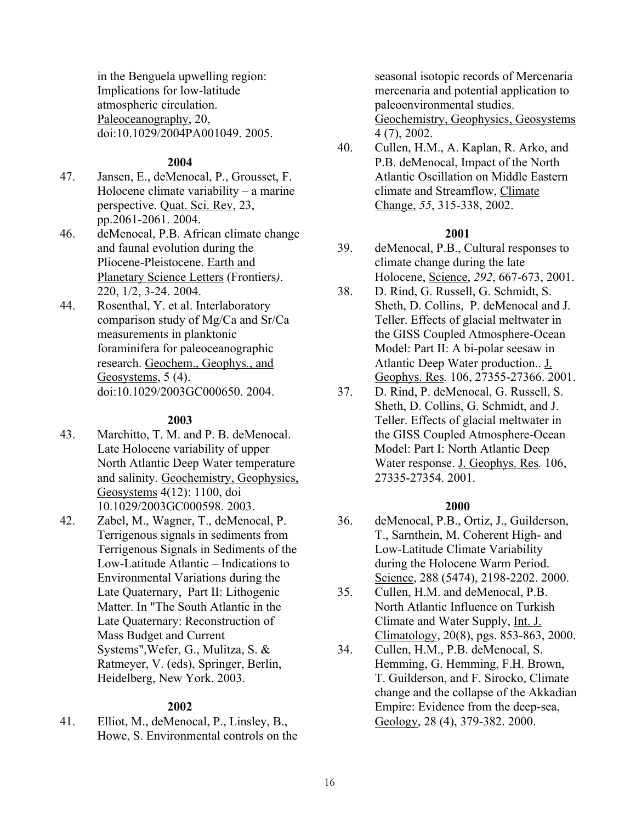in the Benguela upwelling region: Implications for low-latitude atmospheric circulation. Paleoceanography, 20, doi:10.1029/2004PA001049. 2005.

#### **2004**

- 47. Jansen, E., deMenocal, P., Grousset, F. Holocene climate variability – a marine perspective. Quat. Sci. Rev, 23, pp.2061-2061. 2004.
- 46. deMenocal, P.B. African climate change and faunal evolution during the Pliocene-Pleistocene. Earth and Planetary Science Letters (Frontiers*)*. 220, 1/2, 3-24. 2004.
- 44. Rosenthal, Y. et al. Interlaboratory comparison study of Mg/Ca and Sr/Ca measurements in planktonic foraminifera for paleoceanographic research. Geochem., Geophys., and Geosystems, 5 (4). doi:10.1029/2003GC000650. 2004.

#### **2003**

- 43. Marchitto, T. M. and P. B. deMenocal. Late Holocene variability of upper North Atlantic Deep Water temperature and salinity. Geochemistry, Geophysics, Geosystems 4(12): 1100, doi 10.1029/2003GC000598. 2003.
- 42. Zabel, M., Wagner, T., deMenocal, P. Terrigenous signals in sediments from Terrigenous Signals in Sediments of the Low-Latitude Atlantic – Indications to Environmental Variations during the Late Quaternary, Part II: Lithogenic Matter. In "The South Atlantic in the Late Quaternary: Reconstruction of Mass Budget and Current Systems",Wefer, G., Mulitza, S. & Ratmeyer, V. (eds), Springer, Berlin, Heidelberg, New York. 2003.

#### **2002**

41. Elliot, M., deMenocal, P., Linsley, B., Howe, S. Environmental controls on the seasonal isotopic records of Mercenaria mercenaria and potential application to paleoenvironmental studies. Geochemistry, Geophysics, Geosystems 4 (7), 2002.

40. Cullen, H.M., A. Kaplan, R. Arko, and P.B. deMenocal, Impact of the North Atlantic Oscillation on Middle Eastern climate and Streamflow, Climate Change, *55*, 315-338, 2002.

#### **2001**

- 39. deMenocal, P.B., Cultural responses to climate change during the late Holocene, Science, *292*, 667-673, 2001.
- 38. D. Rind, G. Russell, G. Schmidt, S. Sheth, D. Collins, P. deMenocal and J. Teller. Effects of glacial meltwater in the GISS Coupled Atmosphere-Ocean Model: Part II: A bi-polar seesaw in Atlantic Deep Water production.. J. Geophys. Res*.* 106, 27355-27366. 2001.
- 37. D. Rind, P. deMenocal, G. Russell, S. Sheth, D. Collins, G. Schmidt, and J. Teller. Effects of glacial meltwater in the GISS Coupled Atmosphere-Ocean Model: Part I: North Atlantic Deep Water response. J. Geophys. Res*.* 106, 27335-27354. 2001.

#### **2000**

- 36. deMenocal, P.B., Ortiz, J., Guilderson, T., Sarnthein, M. Coherent High- and Low-Latitude Climate Variability during the Holocene Warm Period. Science, 288 (5474), 2198-2202. 2000.
- 35. Cullen, H.M. and deMenocal, P.B. North Atlantic Influence on Turkish Climate and Water Supply, Int. J. Climatology, 20(8), pgs. 853-863, 2000.
- 34. Cullen, H.M., P.B. deMenocal, S. Hemming, G. Hemming, F.H. Brown, T. Guilderson, and F. Sirocko, Climate change and the collapse of the Akkadian Empire: Evidence from the deep-sea, Geology, 28 (4), 379-382. 2000.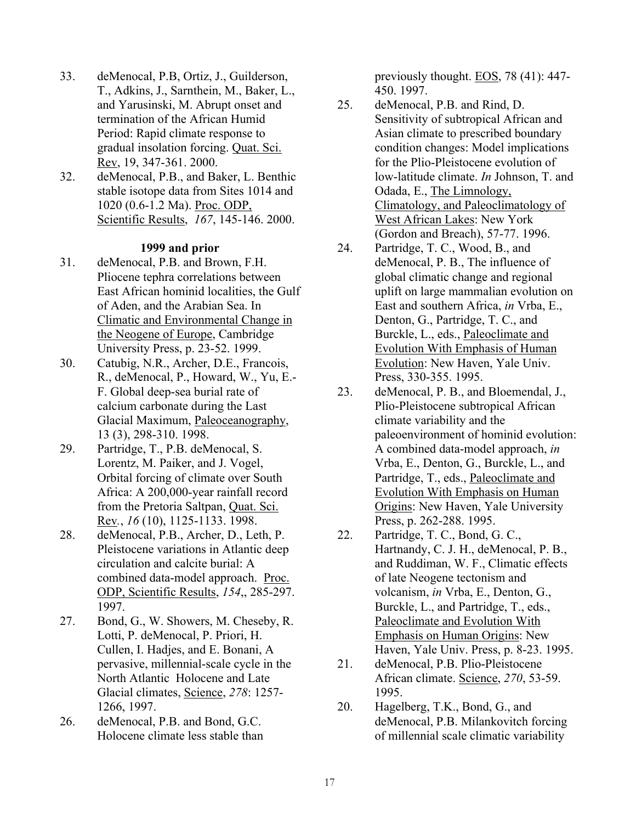- 33. deMenocal, P.B, Ortiz, J., Guilderson, T., Adkins, J., Sarnthein, M., Baker, L., and Yarusinski, M. Abrupt onset and termination of the African Humid Period: Rapid climate response to gradual insolation forcing. Quat. Sci. Rev, 19, 347-361. 2000.
- 32. deMenocal, P.B., and Baker, L. Benthic stable isotope data from Sites 1014 and 1020 (0.6-1.2 Ma). Proc. ODP, Scientific Results, *167*, 145-146. 2000.

#### **1999 and prior**

- 31. deMenocal, P.B. and Brown, F.H. Pliocene tephra correlations between East African hominid localities, the Gulf of Aden, and the Arabian Sea. In Climatic and Environmental Change in the Neogene of Europe, Cambridge University Press, p. 23-52. 1999.
- 30. Catubig, N.R., Archer, D.E., Francois, R., deMenocal, P., Howard, W., Yu, E.- F. Global deep-sea burial rate of calcium carbonate during the Last Glacial Maximum, Paleoceanography, 13 (3), 298-310. 1998.
- 29. Partridge, T., P.B. deMenocal, S. Lorentz, M. Paiker, and J. Vogel, Orbital forcing of climate over South Africa: A 200,000-year rainfall record from the Pretoria Saltpan, Quat. Sci. Rev*.*, *16* (10), 1125-1133. 1998.
- 28. deMenocal, P.B., Archer, D., Leth, P. Pleistocene variations in Atlantic deep circulation and calcite burial: A combined data-model approach. Proc. ODP, Scientific Results, *154*,, 285-297. 1997.
- 27. Bond, G., W. Showers, M. Cheseby, R. Lotti, P. deMenocal, P. Priori, H. Cullen, I. Hadjes, and E. Bonani, A pervasive, millennial-scale cycle in the North Atlantic Holocene and Late Glacial climates, Science, *278*: 1257- 1266, 1997.
- 26. deMenocal, P.B. and Bond, G.C. Holocene climate less stable than

previously thought. EOS, 78 (41): 447- 450. 1997.

- 25. deMenocal, P.B. and Rind, D. Sensitivity of subtropical African and Asian climate to prescribed boundary condition changes: Model implications for the Plio-Pleistocene evolution of low-latitude climate. *In* Johnson, T. and Odada, E., The Limnology, Climatology, and Paleoclimatology of West African Lakes: New York (Gordon and Breach), 57-77. 1996.
- 24. Partridge, T. C., Wood, B., and deMenocal, P. B., The influence of global climatic change and regional uplift on large mammalian evolution on East and southern Africa, *in* Vrba, E., Denton, G., Partridge, T. C., and Burckle, L., eds., Paleoclimate and Evolution With Emphasis of Human Evolution: New Haven, Yale Univ. Press, 330-355. 1995.
- 23. deMenocal, P. B., and Bloemendal, J., Plio-Pleistocene subtropical African climate variability and the paleoenvironment of hominid evolution: A combined data-model approach, *in* Vrba, E., Denton, G., Burckle, L., and Partridge, T., eds., Paleoclimate and Evolution With Emphasis on Human Origins: New Haven, Yale University Press, p. 262-288. 1995.
- 22. Partridge, T. C., Bond, G. C., Hartnandy, C. J. H., deMenocal, P. B., and Ruddiman, W. F., Climatic effects of late Neogene tectonism and volcanism, *in* Vrba, E., Denton, G., Burckle, L., and Partridge, T., eds., Paleoclimate and Evolution With Emphasis on Human Origins: New Haven, Yale Univ. Press, p. 8-23. 1995.
- 21. deMenocal, P.B. Plio-Pleistocene African climate. Science, *270*, 53-59. 1995.
- 20. Hagelberg, T.K., Bond, G., and deMenocal, P.B. Milankovitch forcing of millennial scale climatic variability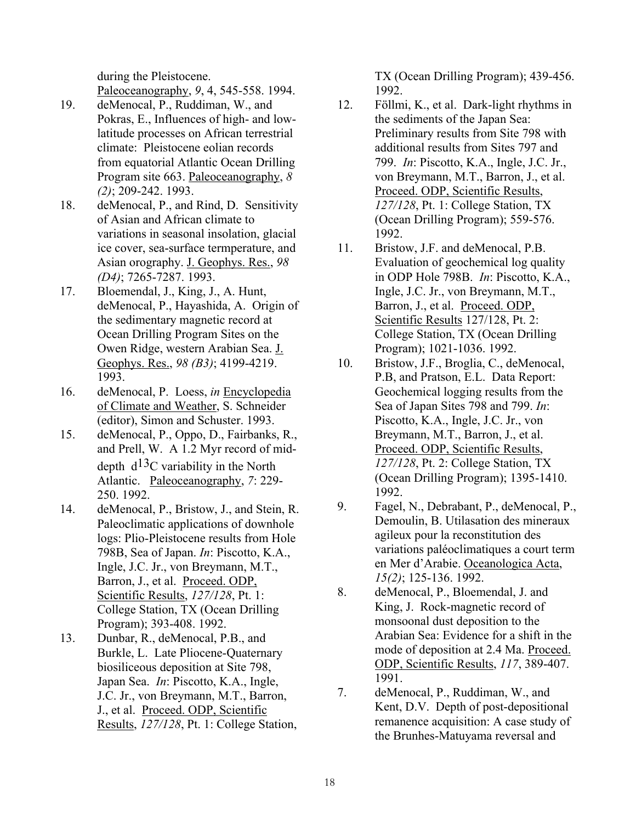during the Pleistocene. Paleoceanography, *9*, 4, 545-558. 1994.

- 19. deMenocal, P., Ruddiman, W., and Pokras, E., Influences of high- and lowlatitude processes on African terrestrial climate: Pleistocene eolian records from equatorial Atlantic Ocean Drilling Program site 663. Paleoceanography, *8 (2)*; 209-242. 1993.
- 18. deMenocal, P., and Rind, D. Sensitivity of Asian and African climate to variations in seasonal insolation, glacial ice cover, sea-surface termperature, and Asian orography. J. Geophys. Res., *98 (D4)*; 7265-7287. 1993.
- 17. Bloemendal, J., King, J., A. Hunt, deMenocal, P., Hayashida, A. Origin of the sedimentary magnetic record at Ocean Drilling Program Sites on the Owen Ridge, western Arabian Sea. J. Geophys. Res., *98 (B3)*; 4199-4219. 1993.
- 16. deMenocal, P. Loess, *in* Encyclopedia of Climate and Weather, S. Schneider (editor), Simon and Schuster. 1993.
- 15. deMenocal, P., Oppo, D., Fairbanks, R., and Prell, W. A 1.2 Myr record of middepth  $d^{13}$ C variability in the North Atlantic. Paleoceanography, *7*: 229- 250. 1992.
- 14. deMenocal, P., Bristow, J., and Stein, R. Paleoclimatic applications of downhole logs: Plio-Pleistocene results from Hole 798B, Sea of Japan. *In*: Piscotto, K.A., Ingle, J.C. Jr., von Breymann, M.T., Barron, J., et al. Proceed. ODP, Scientific Results, *127/128*, Pt. 1: College Station, TX (Ocean Drilling Program); 393-408. 1992.
- 13. Dunbar, R., deMenocal, P.B., and Burkle, L. Late Pliocene-Quaternary biosiliceous deposition at Site 798, Japan Sea. *In*: Piscotto, K.A., Ingle, J.C. Jr., von Breymann, M.T., Barron, J., et al. Proceed. ODP, Scientific Results, *127/128*, Pt. 1: College Station,

TX (Ocean Drilling Program); 439-456. 1992.

- 12. Föllmi, K., et al. Dark-light rhythms in the sediments of the Japan Sea: Preliminary results from Site 798 with additional results from Sites 797 and 799. *In*: Piscotto, K.A., Ingle, J.C. Jr., von Breymann, M.T., Barron, J., et al. Proceed. ODP, Scientific Results, *127/128*, Pt. 1: College Station, TX (Ocean Drilling Program); 559-576. 1992.
- 11. Bristow, J.F. and deMenocal, P.B. Evaluation of geochemical log quality in ODP Hole 798B. *In*: Piscotto, K.A., Ingle, J.C. Jr., von Breymann, M.T., Barron, J., et al. Proceed. ODP, Scientific Results 127/128, Pt. 2: College Station, TX (Ocean Drilling Program); 1021-1036. 1992.
- 10. Bristow, J.F., Broglia, C., deMenocal, P.B, and Pratson, E.L. Data Report: Geochemical logging results from the Sea of Japan Sites 798 and 799. *In*: Piscotto, K.A., Ingle, J.C. Jr., von Breymann, M.T., Barron, J., et al. Proceed. ODP, Scientific Results, *127/128*, Pt. 2: College Station, TX (Ocean Drilling Program); 1395-1410. 1992.
- 9. Fagel, N., Debrabant, P., deMenocal, P., Demoulin, B. Utilasation des mineraux agileux pour la reconstitution des variations paléoclimatiques a court term en Mer d'Arabie. Oceanologica Acta, *15(2)*; 125-136. 1992.
- 8. deMenocal, P., Bloemendal, J. and King, J. Rock-magnetic record of monsoonal dust deposition to the Arabian Sea: Evidence for a shift in the mode of deposition at 2.4 Ma. Proceed. ODP, Scientific Results, *117*, 389-407. 1991.
- 7. deMenocal, P., Ruddiman, W., and Kent, D.V. Depth of post-depositional remanence acquisition: A case study of the Brunhes-Matuyama reversal and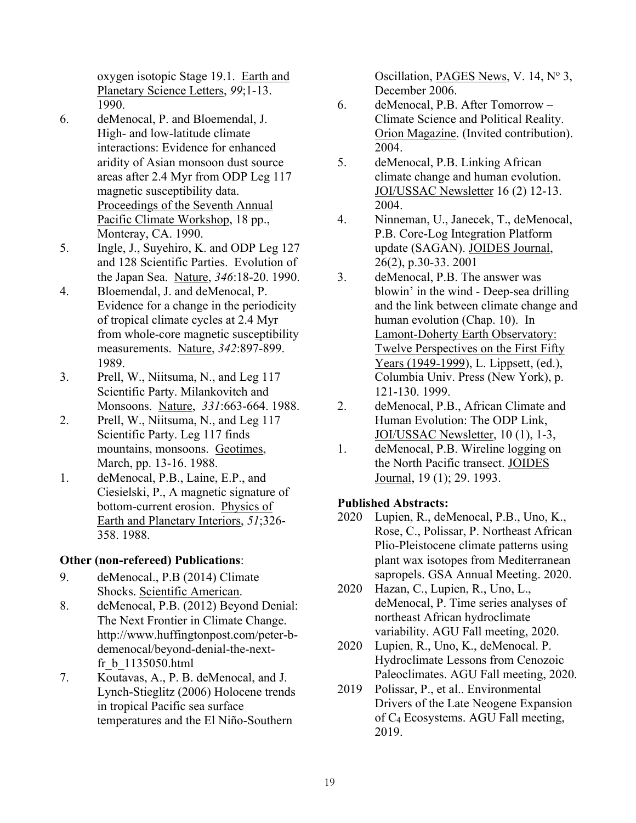oxygen isotopic Stage 19.1. Earth and Planetary Science Letters, *99*;1-13. 1990.

- 6. deMenocal, P. and Bloemendal, J. High- and low-latitude climate interactions: Evidence for enhanced aridity of Asian monsoon dust source areas after 2.4 Myr from ODP Leg 117 magnetic susceptibility data. Proceedings of the Seventh Annual Pacific Climate Workshop, 18 pp., Monteray, CA. 1990.
- 5. Ingle, J., Suyehiro, K. and ODP Leg 127 and 128 Scientific Parties. Evolution of the Japan Sea. Nature, *346*:18-20. 1990.
- 4. Bloemendal, J. and deMenocal, P. Evidence for a change in the periodicity of tropical climate cycles at 2.4 Myr from whole-core magnetic susceptibility measurements. Nature, *342*:897-899. 1989.
- 3. Prell, W., Niitsuma, N., and Leg 117 Scientific Party. Milankovitch and Monsoons. Nature, *331*:663-664. 1988.
- 2. Prell, W., Niitsuma, N., and Leg 117 Scientific Party. Leg 117 finds mountains, monsoons. Geotimes, March, pp. 13-16. 1988.
- 1. deMenocal, P.B., Laine, E.P., and Ciesielski, P., A magnetic signature of bottom-current erosion. Physics of Earth and Planetary Interiors, *51*;326- 358. 1988.

## **Other (non-refereed) Publications**:

- 9. deMenocal., P.B (2014) Climate Shocks. Scientific American.
- 8. deMenocal, P.B. (2012) Beyond Denial: The Next Frontier in Climate Change. http://www.huffingtonpost.com/peter-bdemenocal/beyond-denial-the-nextfr\_b\_1135050.html
- 7. Koutavas, A., P. B. deMenocal, and J. Lynch-Stieglitz (2006) Holocene trends in tropical Pacific sea surface temperatures and the El Niño-Southern

Oscillation, PAGES News, V. 14, Nº 3, December 2006.

- 6. deMenocal, P.B. After Tomorrow Climate Science and Political Reality. Orion Magazine. (Invited contribution). 2004.
- 5. deMenocal, P.B. Linking African climate change and human evolution. JOI/USSAC Newsletter 16 (2) 12-13. 2004.
- 4. Ninneman, U., Janecek, T., deMenocal, P.B. Core-Log Integration Platform update (SAGAN). JOIDES Journal, 26(2), p.30-33. 2001
- 3. deMenocal, P.B. The answer was blowin' in the wind - Deep-sea drilling and the link between climate change and human evolution (Chap. 10). In Lamont-Doherty Earth Observatory: Twelve Perspectives on the First Fifty Years (1949-1999), L. Lippsett, (ed.), Columbia Univ. Press (New York), p. 121-130. 1999.
- 2. deMenocal, P.B., African Climate and Human Evolution: The ODP Link, JOI/USSAC Newsletter, 10 (1), 1-3,
- 1. deMenocal, P.B. Wireline logging on the North Pacific transect. JOIDES Journal, 19 (1); 29. 1993.

## **Published Abstracts:**

- 2020 Lupien, R., deMenocal, P.B., Uno, K., Rose, C., Polissar, P. Northeast African Plio-Pleistocene climate patterns using plant wax isotopes from Mediterranean sapropels. GSA Annual Meeting. 2020.
- 2020 Hazan, C., Lupien, R., Uno, L., deMenocal, P. Time series analyses of northeast African hydroclimate variability. AGU Fall meeting, 2020.
- 2020 Lupien, R., Uno, K., deMenocal. P. Hydroclimate Lessons from Cenozoic Paleoclimates. AGU Fall meeting, 2020.
- 2019 Polissar, P., et al.. Environmental Drivers of the Late Neogene Expansion of C4 Ecosystems. AGU Fall meeting, 2019.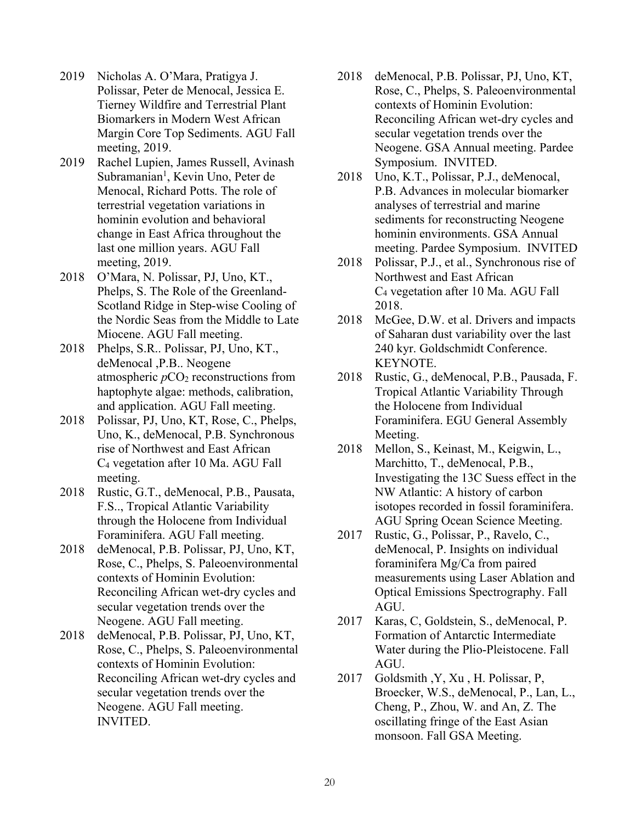- 2019 Nicholas A. O'Mara, Pratigya J. Polissar, Peter de Menocal, Jessica E. Tierney Wildfire and Terrestrial Plant Biomarkers in Modern West African Margin Core Top Sediments. AGU Fall meeting, 2019.
- 2019 Rachel Lupien, James Russell, Avinash Subramanian<sup>1</sup>, Kevin Uno, Peter de Menocal, Richard Potts. The role of terrestrial vegetation variations in hominin evolution and behavioral change in East Africa throughout the last one million years. AGU Fall meeting, 2019.
- 2018 O'Mara, N. Polissar, PJ, Uno, KT., Phelps, S. The Role of the Greenland-Scotland Ridge in Step-wise Cooling of the Nordic Seas from the Middle to Late Miocene. AGU Fall meeting.
- 2018 Phelps, S.R.. Polissar, PJ, Uno, KT., deMenocal ,P.B.. Neogene atmospheric  $pCO<sub>2</sub>$  reconstructions from haptophyte algae: methods, calibration, and application. AGU Fall meeting.
- 2018 Polissar, PJ, Uno, KT, Rose, C., Phelps, Uno, K., deMenocal, P.B. Synchronous rise of Northwest and East African C4 vegetation after 10 Ma. AGU Fall meeting.
- 2018 Rustic, G.T., deMenocal, P.B., Pausata, F.S.., Tropical Atlantic Variability through the Holocene from Individual Foraminifera. AGU Fall meeting.
- 2018 deMenocal, P.B. Polissar, PJ, Uno, KT, Rose, C., Phelps, S. Paleoenvironmental contexts of Hominin Evolution: Reconciling African wet-dry cycles and secular vegetation trends over the Neogene. AGU Fall meeting.
- 2018 deMenocal, P.B. Polissar, PJ, Uno, KT, Rose, C., Phelps, S. Paleoenvironmental contexts of Hominin Evolution: Reconciling African wet-dry cycles and secular vegetation trends over the Neogene. AGU Fall meeting. INVITED.
- 2018 deMenocal, P.B. Polissar, PJ, Uno, KT, Rose, C., Phelps, S. Paleoenvironmental contexts of Hominin Evolution: Reconciling African wet-dry cycles and secular vegetation trends over the Neogene. GSA Annual meeting. Pardee Symposium. INVITED.
- 2018 Uno, K.T., Polissar, P.J., deMenocal, P.B. Advances in molecular biomarker analyses of terrestrial and marine sediments for reconstructing Neogene hominin environments. GSA Annual meeting. Pardee Symposium. INVITED
- 2018 Polissar, P.J., et al., Synchronous rise of Northwest and East African C4 vegetation after 10 Ma. AGU Fall 2018.
- 2018 McGee, D.W. et al. Drivers and impacts of Saharan dust variability over the last 240 kyr. Goldschmidt Conference. KEYNOTE.
- 2018 Rustic, G., deMenocal, P.B., Pausada, F. Tropical Atlantic Variability Through the Holocene from Individual Foraminifera. EGU General Assembly Meeting.
- 2018 Mellon, S., Keinast, M., Keigwin, L., Marchitto, T., deMenocal, P.B., Investigating the 13C Suess effect in the NW Atlantic: A history of carbon isotopes recorded in fossil foraminifera. AGU Spring Ocean Science Meeting.
- 2017 Rustic, G., Polissar, P., Ravelo, C., deMenocal, P. Insights on individual foraminifera Mg/Ca from paired measurements using Laser Ablation and Optical Emissions Spectrography. Fall AGU.
- 2017 Karas, C, Goldstein, S., deMenocal, P. Formation of Antarctic Intermediate Water during the Plio-Pleistocene. Fall AGU.
- 2017 Goldsmith ,Y, Xu , H. Polissar, P, Broecker, W.S., deMenocal, P., Lan, L., Cheng, P., Zhou, W. and An, Z. The oscillating fringe of the East Asian monsoon. Fall GSA Meeting.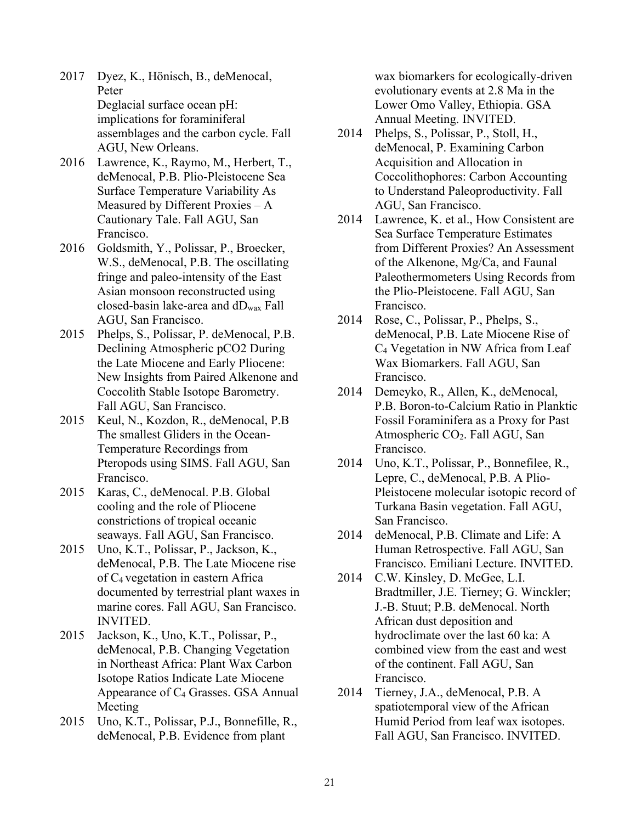- 2017 Dyez, K., Hönisch, B., deMenocal, Peter Deglacial surface ocean pH: implications for foraminiferal assemblages and the carbon cycle. Fall AGU, New Orleans.
- 2016 Lawrence, K., Raymo, M., Herbert, T., deMenocal, P.B. Plio-Pleistocene Sea Surface Temperature Variability As Measured by Different Proxies – A Cautionary Tale. Fall AGU, San Francisco.
- 2016 Goldsmith, Y., Polissar, P., Broecker, W.S., deMenocal, P.B. The oscillating fringe and paleo-intensity of the East Asian monsoon reconstructed using closed-basin lake-area and dDwax Fall AGU, San Francisco.
- 2015 Phelps, S., Polissar, P. deMenocal, P.B. Declining Atmospheric pCO2 During the Late Miocene and Early Pliocene: New Insights from Paired Alkenone and Coccolith Stable Isotope Barometry. Fall AGU, San Francisco.
- 2015 Keul, N., Kozdon, R., deMenocal, P.B The smallest Gliders in the Ocean-Temperature Recordings from Pteropods using SIMS. Fall AGU, San Francisco.
- 2015 Karas, C., deMenocal. P.B. Global cooling and the role of Pliocene constrictions of tropical oceanic seaways. Fall AGU, San Francisco.
- 2015 Uno, K.T., Polissar, P., Jackson, K., deMenocal, P.B. The Late Miocene rise of C4 vegetation in eastern Africa documented by terrestrial plant waxes in marine cores. Fall AGU, San Francisco. INVITED.
- 2015 Jackson, K., Uno, K.T., Polissar, P., deMenocal, P.B. Changing Vegetation in Northeast Africa: Plant Wax Carbon Isotope Ratios Indicate Late Miocene Appearance of  $C_4$  Grasses. GSA Annual Meeting
- 2015 Uno, K.T., Polissar, P.J., Bonnefille, R., deMenocal, P.B. Evidence from plant

wax biomarkers for ecologically-driven evolutionary events at 2.8 Ma in the Lower Omo Valley, Ethiopia. GSA Annual Meeting. INVITED.

- 2014 Phelps, S., Polissar, P., Stoll, H., deMenocal, P. Examining Carbon Acquisition and Allocation in Coccolithophores: Carbon Accounting to Understand Paleoproductivity. Fall AGU, San Francisco.
- 2014 Lawrence, K. et al., How Consistent are Sea Surface Temperature Estimates from Different Proxies? An Assessment of the Alkenone, Mg/Ca, and Faunal Paleothermometers Using Records from the Plio-Pleistocene. Fall AGU, San Francisco.
- 2014 Rose, C., Polissar, P., Phelps, S., deMenocal, P.B. Late Miocene Rise of C4 Vegetation in NW Africa from Leaf Wax Biomarkers. Fall AGU, San Francisco.
- 2014 Demeyko, R., Allen, K., deMenocal, P.B. Boron-to-Calcium Ratio in Planktic Fossil Foraminifera as a Proxy for Past Atmospheric CO2. Fall AGU, San Francisco.
- 2014 Uno, K.T., Polissar, P., Bonnefilee, R., Lepre, C., deMenocal, P.B. A Plio-Pleistocene molecular isotopic record of Turkana Basin vegetation. Fall AGU, San Francisco.
- 2014 deMenocal, P.B. Climate and Life: A Human Retrospective. Fall AGU, San Francisco. Emiliani Lecture. INVITED.
- 2014 C.W. Kinsley, D. McGee, L.I. Bradtmiller, J.E. Tierney; G. Winckler; J.-B. Stuut; P.B. deMenocal. North African dust deposition and hydroclimate over the last 60 ka: A combined view from the east and west of the continent. Fall AGU, San Francisco.
- 2014 Tierney, J.A., deMenocal, P.B. A spatiotemporal view of the African Humid Period from leaf wax isotopes. Fall AGU, San Francisco. INVITED.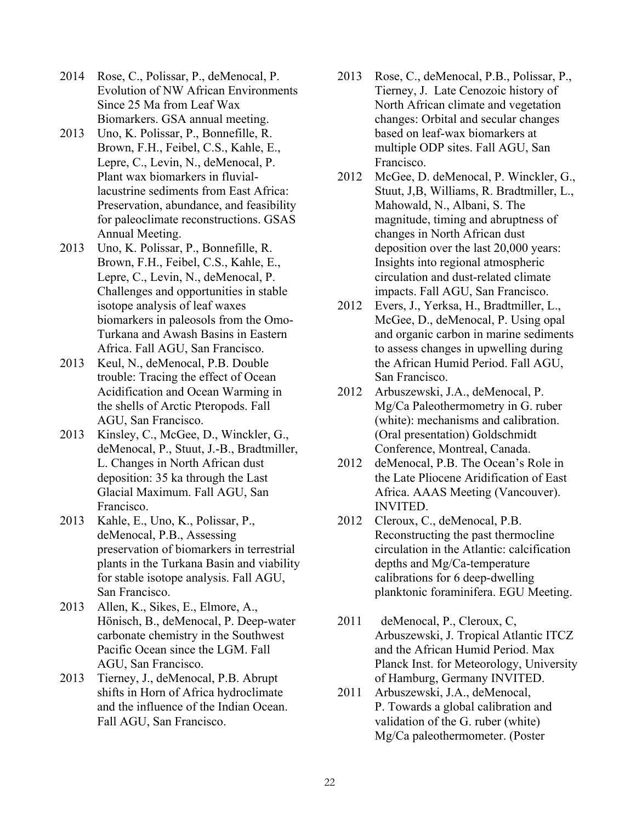- 2014 Rose, C., Polissar, P., deMenocal, P. Evolution of NW African Environments Since 25 Ma from Leaf Wax Biomarkers. GSA annual meeting.
- 2013 Uno, K. Polissar, P., Bonnefille, R. Brown, F.H., Feibel, C.S., Kahle, E., Lepre, C., Levin, N., deMenocal, P. Plant wax biomarkers in fluviallacustrine sediments from East Africa: Preservation, abundance, and feasibility for paleoclimate reconstructions. GSAS Annual Meeting.
- 2013 Uno, K. Polissar, P., Bonnefille, R. Brown, F.H., Feibel, C.S., Kahle, E., Lepre, C., Levin, N., deMenocal, P. Challenges and opportunities in stable isotope analysis of leaf waxes biomarkers in paleosols from the Omo-Turkana and Awash Basins in Eastern Africa. Fall AGU, San Francisco.
- 2013 Keul, N., deMenocal, P.B. Double trouble: Tracing the effect of Ocean Acidification and Ocean Warming in the shells of Arctic Pteropods. Fall AGU, San Francisco.
- 2013 Kinsley, C., McGee, D., Winckler, G., deMenocal, P., Stuut, J.-B., Bradtmiller, L. Changes in North African dust deposition: 35 ka through the Last Glacial Maximum. Fall AGU, San Francisco.
- 2013 Kahle, E., Uno, K., Polissar, P., deMenocal, P.B., Assessing preservation of biomarkers in terrestrial plants in the Turkana Basin and viability for stable isotope analysis. Fall AGU, San Francisco.
- 2013 Allen, K., Sikes, E., Elmore, A., Hönisch, B., deMenocal, P. Deep-water carbonate chemistry in the Southwest Pacific Ocean since the LGM. Fall AGU, San Francisco.
- 2013 Tierney, J., deMenocal, P.B. Abrupt shifts in Horn of Africa hydroclimate and the influence of the Indian Ocean. Fall AGU, San Francisco.
- 2013 Rose, C., deMenocal, P.B., Polissar, P., Tierney, J. Late Cenozoic history of North African climate and vegetation changes: Orbital and secular changes based on leaf-wax biomarkers at multiple ODP sites. Fall AGU, San Francisco.
- 2012 McGee, D. deMenocal, P. Winckler, G., Stuut, J,B, Williams, R. Bradtmiller, L., Mahowald, N., Albani, S. The magnitude, timing and abruptness of changes in North African dust deposition over the last 20,000 years: Insights into regional atmospheric circulation and dust-related climate impacts. Fall AGU, San Francisco.
- 2012 Evers, J., Yerksa, H., Bradtmiller, L., McGee, D., deMenocal, P. Using opal and organic carbon in marine sediments to assess changes in upwelling during the African Humid Period. Fall AGU, San Francisco.
- 2012 Arbuszewski, J.A., deMenocal, P. Mg/Ca Paleothermometry in G. ruber (white): mechanisms and calibration. (Oral presentation) Goldschmidt Conference, Montreal, Canada.
- 2012 deMenocal, P.B. The Ocean's Role in the Late Pliocene Aridification of East Africa. AAAS Meeting (Vancouver). INVITED.
- 2012 Cleroux, C., deMenocal, P.B. Reconstructing the past thermocline circulation in the Atlantic: calcification depths and Mg/Ca-temperature calibrations for 6 deep-dwelling planktonic foraminifera. EGU Meeting.
- 2011 deMenocal, P., Cleroux, C, Arbuszewski, J. Tropical Atlantic ITCZ and the African Humid Period. Max Planck Inst. for Meteorology, University of Hamburg, Germany INVITED.
- 2011 Arbuszewski, J.A., deMenocal, P. Towards a global calibration and validation of the G. ruber (white) Mg/Ca paleothermometer. (Poster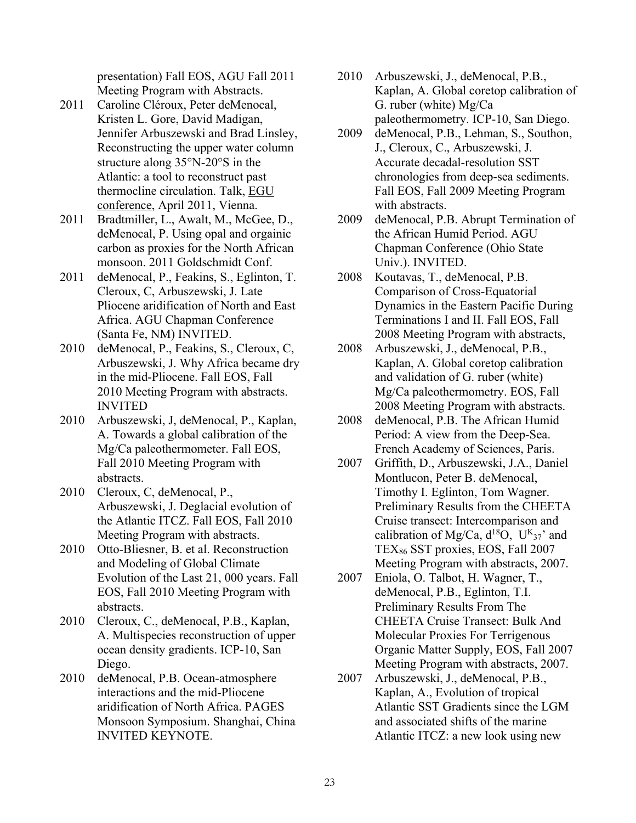presentation) Fall EOS, AGU Fall 2011 Meeting Program with Abstracts.

- 2011 Caroline Cléroux, Peter deMenocal, Kristen L. Gore, David Madigan, Jennifer Arbuszewski and Brad Linsley, Reconstructing the upper water column structure along 35°N-20°S in the Atlantic: a tool to reconstruct past thermocline circulation. Talk, EGU conference, April 2011, Vienna.
- 2011 Bradtmiller, L., Awalt, M., McGee, D., deMenocal, P. Using opal and orgainic carbon as proxies for the North African monsoon. 2011 Goldschmidt Conf.
- 2011 deMenocal, P., Feakins, S., Eglinton, T. Cleroux, C, Arbuszewski, J. Late Pliocene aridification of North and East Africa. AGU Chapman Conference (Santa Fe, NM) INVITED.
- 2010 deMenocal, P., Feakins, S., Cleroux, C, Arbuszewski, J. Why Africa became dry in the mid-Pliocene. Fall EOS, Fall 2010 Meeting Program with abstracts. INVITED
- 2010 Arbuszewski, J, deMenocal, P., Kaplan, A. Towards a global calibration of the Mg/Ca paleothermometer. Fall EOS, Fall 2010 Meeting Program with abstracts.
- 2010 Cleroux, C, deMenocal, P., Arbuszewski, J. Deglacial evolution of the Atlantic ITCZ. Fall EOS, Fall 2010 Meeting Program with abstracts.
- 2010 Otto-Bliesner, B. et al. Reconstruction and Modeling of Global Climate Evolution of the Last 21, 000 years. Fall EOS, Fall 2010 Meeting Program with abstracts.
- 2010 Cleroux, C., deMenocal, P.B., Kaplan, A. Multispecies reconstruction of upper ocean density gradients. ICP-10, San Diego.
- 2010 deMenocal, P.B. Ocean-atmosphere interactions and the mid-Pliocene aridification of North Africa. PAGES Monsoon Symposium. Shanghai, China INVITED KEYNOTE.
- 2010 Arbuszewski, J., deMenocal, P.B., Kaplan, A. Global coretop calibration of G. ruber (white) Mg/Ca paleothermometry. ICP-10, San Diego.
- 2009 deMenocal, P.B., Lehman, S., Southon, J., Cleroux, C., Arbuszewski, J. Accurate decadal-resolution SST chronologies from deep-sea sediments. Fall EOS, Fall 2009 Meeting Program with abstracts.
- 2009 deMenocal, P.B. Abrupt Termination of the African Humid Period. AGU Chapman Conference (Ohio State Univ.). INVITED.
- 2008 Koutavas, T., deMenocal, P.B. Comparison of Cross-Equatorial Dynamics in the Eastern Pacific During Terminations I and II. Fall EOS, Fall 2008 Meeting Program with abstracts,
- 2008 Arbuszewski, J., deMenocal, P.B., Kaplan, A. Global coretop calibration and validation of G. ruber (white) Mg/Ca paleothermometry. EOS, Fall 2008 Meeting Program with abstracts.
- 2008 deMenocal, P.B. The African Humid Period: A view from the Deep-Sea. French Academy of Sciences, Paris.
- 2007 Griffith, D., Arbuszewski, J.A., Daniel Montlucon, Peter B. deMenocal, Timothy I. Eglinton, Tom Wagner. Preliminary Results from the CHEETA Cruise transect: Intercomparison and calibration of Mg/Ca,  $d^{18}O$ ,  $U^{K_{37}}$  and TEX86 SST proxies, EOS, Fall 2007 Meeting Program with abstracts, 2007.
- 2007 Eniola, O. Talbot, H. Wagner, T., deMenocal, P.B., Eglinton, T.I. Preliminary Results From The CHEETA Cruise Transect: Bulk And Molecular Proxies For Terrigenous Organic Matter Supply, EOS, Fall 2007 Meeting Program with abstracts, 2007.
- 2007 Arbuszewski, J., deMenocal, P.B., Kaplan, A., Evolution of tropical Atlantic SST Gradients since the LGM and associated shifts of the marine Atlantic ITCZ: a new look using new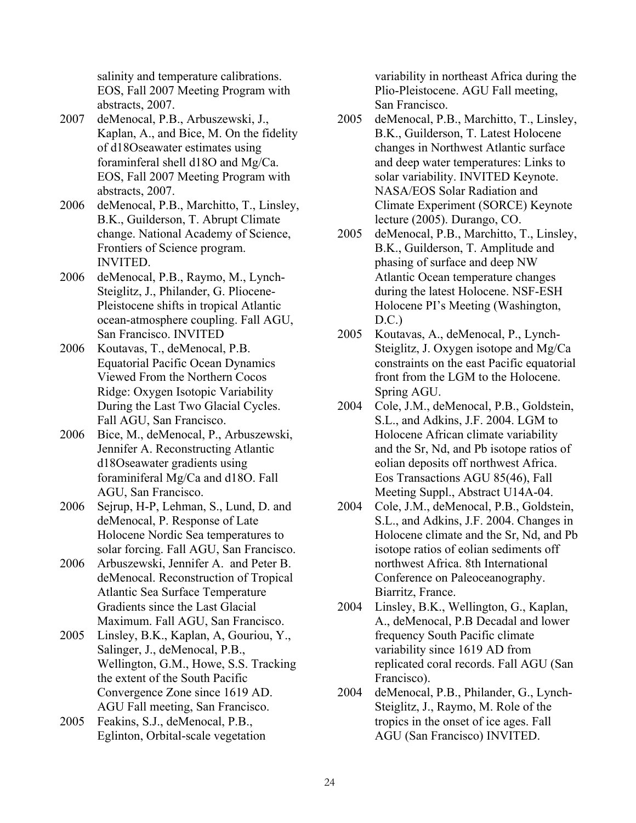salinity and temperature calibrations. EOS, Fall 2007 Meeting Program with abstracts, 2007.

- 2007 deMenocal, P.B., Arbuszewski, J., Kaplan, A., and Bice, M. On the fidelity of d18Oseawater estimates using foraminferal shell d18O and Mg/Ca. EOS, Fall 2007 Meeting Program with abstracts, 2007.
- 2006 deMenocal, P.B., Marchitto, T., Linsley, B.K., Guilderson, T. Abrupt Climate change. National Academy of Science, Frontiers of Science program. INVITED.
- 2006 deMenocal, P.B., Raymo, M., Lynch-Steiglitz, J., Philander, G. Pliocene-Pleistocene shifts in tropical Atlantic ocean-atmosphere coupling. Fall AGU, San Francisco. INVITED
- 2006 Koutavas, T., deMenocal, P.B. Equatorial Pacific Ocean Dynamics Viewed From the Northern Cocos Ridge: Oxygen Isotopic Variability During the Last Two Glacial Cycles. Fall AGU, San Francisco.
- 2006 Bice, M., deMenocal, P., Arbuszewski, Jennifer A. Reconstructing Atlantic d18Oseawater gradients using foraminiferal Mg/Ca and d18O. Fall AGU, San Francisco.
- 2006 Sejrup, H-P, Lehman, S., Lund, D. and deMenocal, P. Response of Late Holocene Nordic Sea temperatures to solar forcing. Fall AGU, San Francisco.
- 2006 Arbuszewski, Jennifer A. and Peter B. deMenocal. Reconstruction of Tropical Atlantic Sea Surface Temperature Gradients since the Last Glacial Maximum. Fall AGU, San Francisco.
- 2005 Linsley, B.K., Kaplan, A, Gouriou, Y., Salinger, J., deMenocal, P.B., Wellington, G.M., Howe, S.S. Tracking the extent of the South Pacific Convergence Zone since 1619 AD. AGU Fall meeting, San Francisco.
- 2005 Feakins, S.J., deMenocal, P.B., Eglinton, Orbital-scale vegetation

variability in northeast Africa during the Plio-Pleistocene. AGU Fall meeting, San Francisco.

- 2005 deMenocal, P.B., Marchitto, T., Linsley, B.K., Guilderson, T. Latest Holocene changes in Northwest Atlantic surface and deep water temperatures: Links to solar variability. INVITED Keynote. NASA/EOS Solar Radiation and Climate Experiment (SORCE) Keynote lecture (2005). Durango, CO.
- 2005 deMenocal, P.B., Marchitto, T., Linsley, B.K., Guilderson, T. Amplitude and phasing of surface and deep NW Atlantic Ocean temperature changes during the latest Holocene. NSF-ESH Holocene PI's Meeting (Washington, D.C.)
- 2005 Koutavas, A., deMenocal, P., Lynch-Steiglitz, J. Oxygen isotope and Mg/Ca constraints on the east Pacific equatorial front from the LGM to the Holocene. Spring AGU.
- 2004 Cole, J.M., deMenocal, P.B., Goldstein, S.L., and Adkins, J.F. 2004. LGM to Holocene African climate variability and the Sr, Nd, and Pb isotope ratios of eolian deposits off northwest Africa. Eos Transactions AGU 85(46), Fall Meeting Suppl., Abstract U14A-04.
- 2004 Cole, J.M., deMenocal, P.B., Goldstein, S.L., and Adkins, J.F. 2004. Changes in Holocene climate and the Sr, Nd, and Pb isotope ratios of eolian sediments off northwest Africa. 8th International Conference on Paleoceanography. Biarritz, France.
- 2004 Linsley, B.K., Wellington, G., Kaplan, A., deMenocal, P.B Decadal and lower frequency South Pacific climate variability since 1619 AD from replicated coral records. Fall AGU (San Francisco).
- 2004 deMenocal, P.B., Philander, G., Lynch-Steiglitz, J., Raymo, M. Role of the tropics in the onset of ice ages. Fall AGU (San Francisco) INVITED.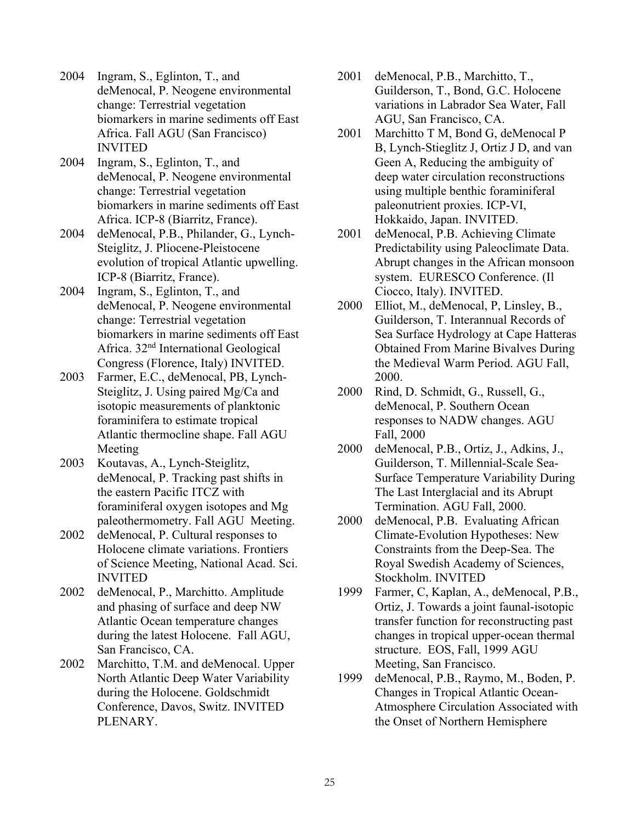- 2004 Ingram, S., Eglinton, T., and deMenocal, P. Neogene environmental change: Terrestrial vegetation biomarkers in marine sediments off East Africa. Fall AGU (San Francisco) INVITED
- 2004 Ingram, S., Eglinton, T., and deMenocal, P. Neogene environmental change: Terrestrial vegetation biomarkers in marine sediments off East Africa. ICP-8 (Biarritz, France).
- 2004 deMenocal, P.B., Philander, G., Lynch-Steiglitz, J. Pliocene-Pleistocene evolution of tropical Atlantic upwelling. ICP-8 (Biarritz, France).
- 2004 Ingram, S., Eglinton, T., and deMenocal, P. Neogene environmental change: Terrestrial vegetation biomarkers in marine sediments off East Africa. 32nd International Geological Congress (Florence, Italy) INVITED.
- 2003 Farmer, E.C., deMenocal, PB, Lynch-Steiglitz, J. Using paired Mg/Ca and isotopic measurements of planktonic foraminifera to estimate tropical Atlantic thermocline shape. Fall AGU Meeting
- 2003 Koutavas, A., Lynch-Steiglitz, deMenocal, P. Tracking past shifts in the eastern Pacific ITCZ with foraminiferal oxygen isotopes and Mg paleothermometry. Fall AGU Meeting.
- 2002 deMenocal, P. Cultural responses to Holocene climate variations. Frontiers of Science Meeting, National Acad. Sci. INVITED
- 2002 deMenocal, P., Marchitto. Amplitude and phasing of surface and deep NW Atlantic Ocean temperature changes during the latest Holocene. Fall AGU, San Francisco, CA.
- 2002 Marchitto, T.M. and deMenocal. Upper North Atlantic Deep Water Variability during the Holocene. Goldschmidt Conference, Davos, Switz. INVITED PLENARY.
- 2001 deMenocal, P.B., Marchitto, T., Guilderson, T., Bond, G.C. Holocene variations in Labrador Sea Water, Fall AGU, San Francisco, CA.
- 2001 Marchitto T M, Bond G, deMenocal P B, Lynch-Stieglitz J, Ortiz J D, and van Geen A, Reducing the ambiguity of deep water circulation reconstructions using multiple benthic foraminiferal paleonutrient proxies. ICP-VI, Hokkaido, Japan. INVITED.
- 2001 deMenocal, P.B. Achieving Climate Predictability using Paleoclimate Data. Abrupt changes in the African monsoon system. EURESCO Conference. (Il Ciocco, Italy). INVITED.
- 2000 Elliot, M., deMenocal, P, Linsley, B., Guilderson, T. Interannual Records of Sea Surface Hydrology at Cape Hatteras Obtained From Marine Bivalves During the Medieval Warm Period. AGU Fall, 2000.
- 2000 Rind, D. Schmidt, G., Russell, G., deMenocal, P. Southern Ocean responses to NADW changes. AGU Fall, 2000
- 2000 deMenocal, P.B., Ortiz, J., Adkins, J., Guilderson, T. Millennial-Scale Sea-Surface Temperature Variability During The Last Interglacial and its Abrupt Termination. AGU Fall, 2000.
- 2000 deMenocal, P.B. Evaluating African Climate-Evolution Hypotheses: New Constraints from the Deep-Sea. The Royal Swedish Academy of Sciences, Stockholm. INVITED
- 1999 Farmer, C, Kaplan, A., deMenocal, P.B., Ortiz, J. Towards a joint faunal-isotopic transfer function for reconstructing past changes in tropical upper-ocean thermal structure. EOS, Fall, 1999 AGU Meeting, San Francisco.
- 1999 deMenocal, P.B., Raymo, M., Boden, P. Changes in Tropical Atlantic Ocean-Atmosphere Circulation Associated with the Onset of Northern Hemisphere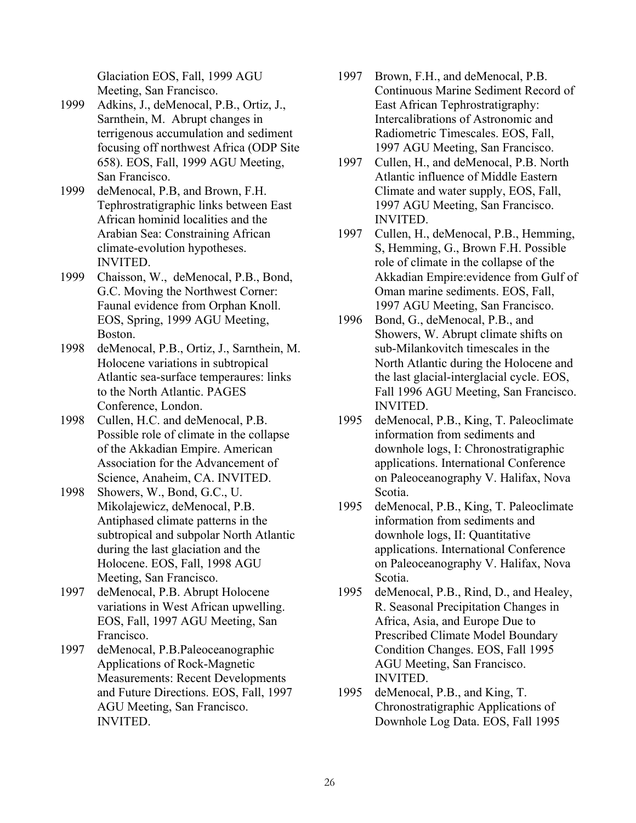Glaciation EOS, Fall, 1999 AGU Meeting, San Francisco.

- 1999 Adkins, J., deMenocal, P.B., Ortiz, J., Sarnthein, M. Abrupt changes in terrigenous accumulation and sediment focusing off northwest Africa (ODP Site 658). EOS, Fall, 1999 AGU Meeting, San Francisco.
- 1999 deMenocal, P.B, and Brown, F.H. Tephrostratigraphic links between East African hominid localities and the Arabian Sea: Constraining African climate-evolution hypotheses. INVITED.
- 1999 Chaisson, W., deMenocal, P.B., Bond, G.C. Moving the Northwest Corner: Faunal evidence from Orphan Knoll. EOS, Spring, 1999 AGU Meeting, Boston.
- 1998 deMenocal, P.B., Ortiz, J., Sarnthein, M. Holocene variations in subtropical Atlantic sea-surface temperaures: links to the North Atlantic. PAGES Conference, London.
- 1998 Cullen, H.C. and deMenocal, P.B. Possible role of climate in the collapse of the Akkadian Empire. American Association for the Advancement of Science, Anaheim, CA. INVITED.
- 1998 Showers, W., Bond, G.C., U. Mikolajewicz, deMenocal, P.B. Antiphased climate patterns in the subtropical and subpolar North Atlantic during the last glaciation and the Holocene. EOS, Fall, 1998 AGU Meeting, San Francisco.
- 1997 deMenocal, P.B. Abrupt Holocene variations in West African upwelling. EOS, Fall, 1997 AGU Meeting, San Francisco.
- 1997 deMenocal, P.B.Paleoceanographic Applications of Rock-Magnetic Measurements: Recent Developments and Future Directions. EOS, Fall, 1997 AGU Meeting, San Francisco. INVITED.
- 1997 Brown, F.H., and deMenocal, P.B. Continuous Marine Sediment Record of East African Tephrostratigraphy: Intercalibrations of Astronomic and Radiometric Timescales. EOS, Fall, 1997 AGU Meeting, San Francisco.
- 1997 Cullen, H., and deMenocal, P.B. North Atlantic influence of Middle Eastern Climate and water supply, EOS, Fall, 1997 AGU Meeting, San Francisco. INVITED.
- 1997 Cullen, H., deMenocal, P.B., Hemming, S, Hemming, G., Brown F.H. Possible role of climate in the collapse of the Akkadian Empire:evidence from Gulf of Oman marine sediments. EOS, Fall, 1997 AGU Meeting, San Francisco.
- 1996 Bond, G., deMenocal, P.B., and Showers, W. Abrupt climate shifts on sub-Milankovitch timescales in the North Atlantic during the Holocene and the last glacial-interglacial cycle. EOS, Fall 1996 AGU Meeting, San Francisco. INVITED.
- 1995 deMenocal, P.B., King, T. Paleoclimate information from sediments and downhole logs, I: Chronostratigraphic applications. International Conference on Paleoceanography V. Halifax, Nova Scotia.
- 1995 deMenocal, P.B., King, T. Paleoclimate information from sediments and downhole logs, II: Quantitative applications. International Conference on Paleoceanography V. Halifax, Nova Scotia.
- 1995 deMenocal, P.B., Rind, D., and Healey, R. Seasonal Precipitation Changes in Africa, Asia, and Europe Due to Prescribed Climate Model Boundary Condition Changes. EOS, Fall 1995 AGU Meeting, San Francisco. INVITED.
- 1995 deMenocal, P.B., and King, T. Chronostratigraphic Applications of Downhole Log Data. EOS, Fall 1995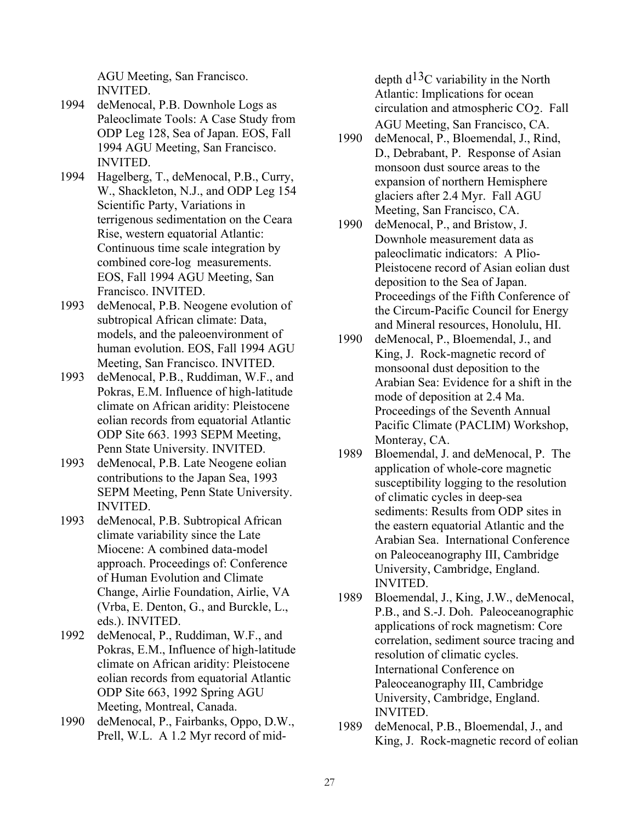AGU Meeting, San Francisco. INVITED.

- 1994 deMenocal, P.B. Downhole Logs as Paleoclimate Tools: A Case Study from ODP Leg 128, Sea of Japan. EOS, Fall 1994 AGU Meeting, San Francisco. INVITED.
- 1994 Hagelberg, T., deMenocal, P.B., Curry, W., Shackleton, N.J., and ODP Leg 154 Scientific Party, Variations in terrigenous sedimentation on the Ceara Rise, western equatorial Atlantic: Continuous time scale integration by combined core-log measurements. EOS, Fall 1994 AGU Meeting, San Francisco. INVITED.
- 1993 deMenocal, P.B. Neogene evolution of subtropical African climate: Data, models, and the paleoenvironment of human evolution. EOS, Fall 1994 AGU Meeting, San Francisco. INVITED.
- 1993 deMenocal, P.B., Ruddiman, W.F., and Pokras, E.M. Influence of high-latitude climate on African aridity: Pleistocene eolian records from equatorial Atlantic ODP Site 663. 1993 SEPM Meeting, Penn State University. INVITED.
- 1993 deMenocal, P.B. Late Neogene eolian contributions to the Japan Sea, 1993 SEPM Meeting, Penn State University. INVITED.
- 1993 deMenocal, P.B. Subtropical African climate variability since the Late Miocene: A combined data-model approach. Proceedings of: Conference of Human Evolution and Climate Change, Airlie Foundation, Airlie, VA (Vrba, E. Denton, G., and Burckle, L., eds.). INVITED.
- 1992 deMenocal, P., Ruddiman, W.F., and Pokras, E.M., Influence of high-latitude climate on African aridity: Pleistocene eolian records from equatorial Atlantic ODP Site 663, 1992 Spring AGU Meeting, Montreal, Canada.
- 1990 deMenocal, P., Fairbanks, Oppo, D.W., Prell, W.L. A 1.2 Myr record of mid-

depth d13C variability in the North Atlantic: Implications for ocean circulation and atmospheric CO2. Fall AGU Meeting, San Francisco, CA.

- 1990 deMenocal, P., Bloemendal, J., Rind, D., Debrabant, P. Response of Asian monsoon dust source areas to the expansion of northern Hemisphere glaciers after 2.4 Myr. Fall AGU Meeting, San Francisco, CA.
- 1990 deMenocal, P., and Bristow, J. Downhole measurement data as paleoclimatic indicators: A Plio-Pleistocene record of Asian eolian dust deposition to the Sea of Japan. Proceedings of the Fifth Conference of the Circum-Pacific Council for Energy and Mineral resources, Honolulu, HI.
- 1990 deMenocal, P., Bloemendal, J., and King, J. Rock-magnetic record of monsoonal dust deposition to the Arabian Sea: Evidence for a shift in the mode of deposition at 2.4 Ma. Proceedings of the Seventh Annual Pacific Climate (PACLIM) Workshop, Monteray, CA.
- 1989 Bloemendal, J. and deMenocal, P. The application of whole-core magnetic susceptibility logging to the resolution of climatic cycles in deep-sea sediments: Results from ODP sites in the eastern equatorial Atlantic and the Arabian Sea. International Conference on Paleoceanography III, Cambridge University, Cambridge, England. INVITED.
- 1989 Bloemendal, J., King, J.W., deMenocal, P.B., and S.-J. Doh. Paleoceanographic applications of rock magnetism: Core correlation, sediment source tracing and resolution of climatic cycles. International Conference on Paleoceanography III, Cambridge University, Cambridge, England. INVITED.
- 1989 deMenocal, P.B., Bloemendal, J., and King, J. Rock-magnetic record of eolian